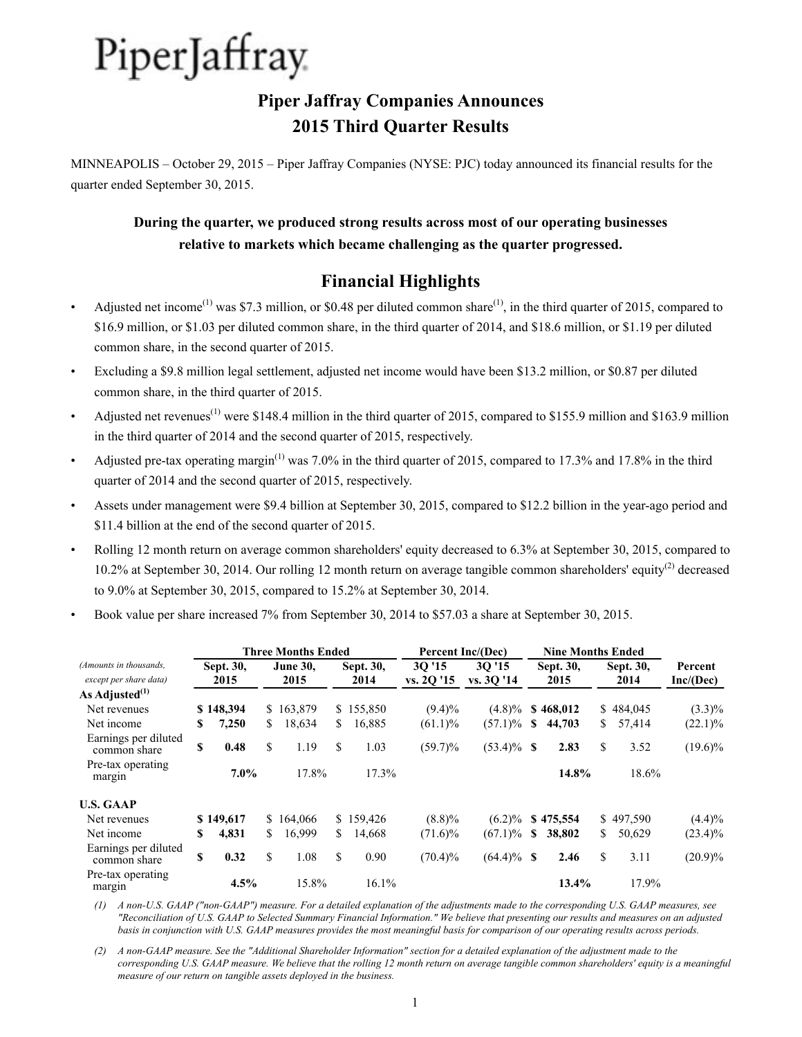## **Piper Jaffray Companies Announces 2015 Third Quarter Results**

MINNEAPOLIS – October 29, 2015 – Piper Jaffray Companies (NYSE: PJC) today announced its financial results for the quarter ended September 30, 2015.

## **During the quarter, we produced strong results across most of our operating businesses relative to markets which became challenging as the quarter progressed.**

## **Financial Highlights**

- Adjusted net income<sup>(1)</sup> was \$7.3 million, or \$0.48 per diluted common share<sup>(1)</sup>, in the third quarter of 2015, compared to \$16.9 million, or \$1.03 per diluted common share, in the third quarter of 2014, and \$18.6 million, or \$1.19 per diluted common share, in the second quarter of 2015.
- Excluding a \$9.8 million legal settlement, adjusted net income would have been \$13.2 million, or \$0.87 per diluted common share, in the third quarter of 2015.
- Adjusted net revenues<sup>(1)</sup> were \$148.4 million in the third quarter of 2015, compared to \$155.9 million and \$163.9 million in the third quarter of 2014 and the second quarter of 2015, respectively.
- Adjusted pre-tax operating margin<sup>(1)</sup> was 7.0% in the third quarter of 2015, compared to 17.3% and 17.8% in the third quarter of 2014 and the second quarter of 2015, respectively.
- Assets under management were \$9.4 billion at September 30, 2015, compared to \$12.2 billion in the year-ago period and \$11.4 billion at the end of the second quarter of 2015.
- Rolling 12 month return on average common shareholders' equity decreased to 6.3% at September 30, 2015, compared to 10.2% at September 30, 2014. Our rolling 12 month return on average tangible common shareholders' equity<sup>(2)</sup> decreased to 9.0% at September 30, 2015, compared to 15.2% at September 30, 2014.
- Book value per share increased 7% from September 30, 2014 to \$57.03 a share at September 30, 2015.

|                                                  |                   |           |                         | <b>Three Months Ended</b> |                   |           | Percent Inc/(Dec)   |                     | <b>Nine Months Ended</b> |                   |    |                   |                      |
|--------------------------------------------------|-------------------|-----------|-------------------------|---------------------------|-------------------|-----------|---------------------|---------------------|--------------------------|-------------------|----|-------------------|----------------------|
| (Amounts in thousands,<br>except per share data) | Sept. 30,<br>2015 |           | <b>June 30.</b><br>2015 |                           | Sept. 30,<br>2014 |           | 30'15<br>vs. 2Q '15 | 30'15<br>vs. 30 '14 |                          | Sept. 30,<br>2015 |    | Sept. 30,<br>2014 | Percent<br>Inc/(Dec) |
| As Adjusted $^{(1)}$                             |                   |           |                         |                           |                   |           |                     |                     |                          |                   |    |                   |                      |
| Net revenues                                     |                   | \$148,394 |                         | \$163,879                 |                   | \$155,850 | $(9.4)\%$           | $(4.8)\%$           |                          | \$468,012         |    | \$484,045         | $(3.3)\%$            |
| Net income                                       | S                 | 7,250     | S.                      | 18,634                    | S.                | 16,885    | $(61.1)\%$          | $(57.1)\%$          | <sup>\$</sup>            | 44,703            | S. | 57,414            | $(22.1)\%$           |
| Earnings per diluted<br>common share             | \$                | 0.48      | \$                      | 1.19                      | \$                | 1.03      | $(59.7)\%$          | $(53.4)\%$ \$       |                          | 2.83              | \$ | 3.52              | $(19.6)\%$           |
| Pre-tax operating<br>margin                      |                   | $7.0\%$   |                         | 17.8%                     |                   | 17.3%     |                     |                     |                          | 14.8%             |    | 18.6%             |                      |
| <b>U.S. GAAP</b>                                 |                   |           |                         |                           |                   |           |                     |                     |                          |                   |    |                   |                      |
| Net revenues                                     |                   | \$149,617 |                         | \$164,066                 |                   | \$159,426 | $(8.8)\%$           | $(6.2)\%$           |                          | \$475,554         |    | \$497,590         | (4.4)%               |
| Net income                                       | S                 | 4,831     | S.                      | 16,999                    | S.                | 14,668    | $(71.6)\%$          | $(67.1)\%$          | S                        | 38,802            | S. | 50,629            | $(23.4)\%$           |
| Earnings per diluted<br>common share             | \$                | 0.32      | \$                      | 1.08                      | \$                | 0.90      | $(70.4)\%$          | $(64.4)\%$ \$       |                          | 2.46              | S  | 3.11              | $(20.9)\%$           |
| Pre-tax operating<br>margin                      |                   | 4.5%      |                         | 15.8%                     |                   | 16.1%     |                     |                     |                          | 13.4%             |    | 17.9%             |                      |

*(1) A non-U.S. GAAP ("non-GAAP") measure. For a detailed explanation of the adjustments made to the corresponding U.S. GAAP measures, see "Reconciliation of U.S. GAAP to Selected Summary Financial Information." We believe that presenting our results and measures on an adjusted basis in conjunction with U.S. GAAP measures provides the most meaningful basis for comparison of our operating results across periods.* 

*(2) A non-GAAP measure. See the "Additional Shareholder Information" section for a detailed explanation of the adjustment made to the corresponding U.S. GAAP measure. We believe that the rolling 12 month return on average tangible common shareholders' equity is a meaningful measure of our return on tangible assets deployed in the business.*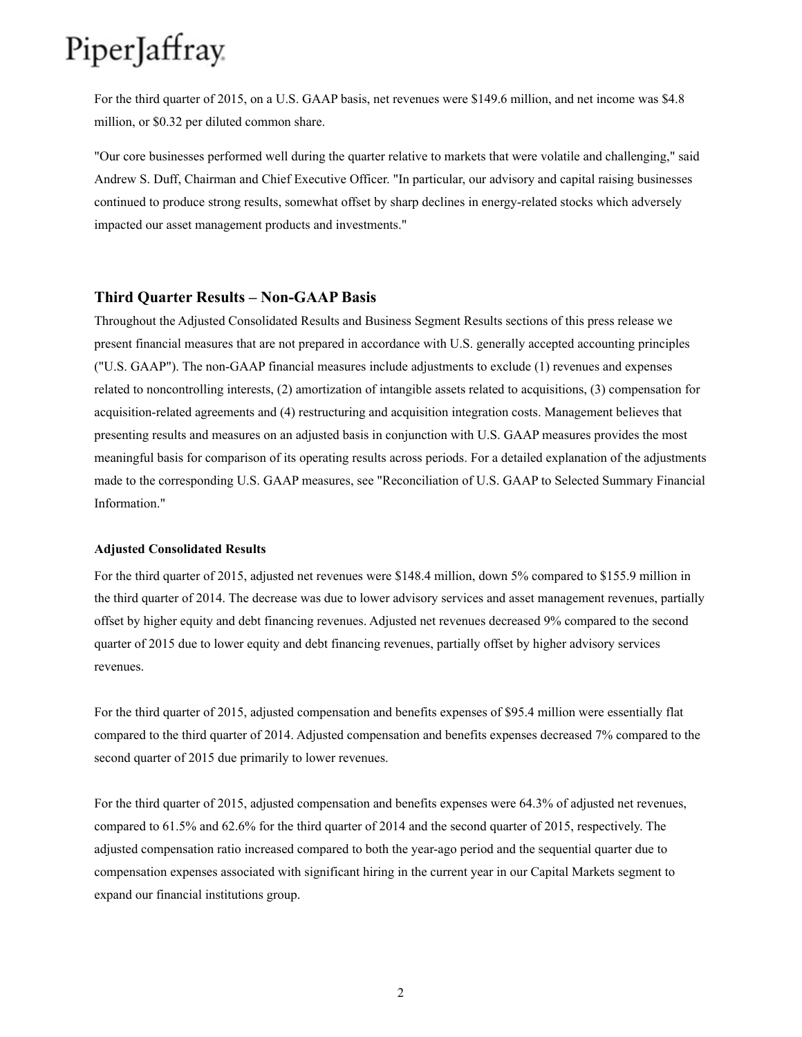For the third quarter of 2015, on a U.S. GAAP basis, net revenues were \$149.6 million, and net income was \$4.8 million, or \$0.32 per diluted common share.

"Our core businesses performed well during the quarter relative to markets that were volatile and challenging," said Andrew S. Duff, Chairman and Chief Executive Officer. "In particular, our advisory and capital raising businesses continued to produce strong results, somewhat offset by sharp declines in energy-related stocks which adversely impacted our asset management products and investments."

#### **Third Quarter Results – Non-GAAP Basis**

Throughout the Adjusted Consolidated Results and Business Segment Results sections of this press release we present financial measures that are not prepared in accordance with U.S. generally accepted accounting principles ("U.S. GAAP"). The non-GAAP financial measures include adjustments to exclude (1) revenues and expenses related to noncontrolling interests, (2) amortization of intangible assets related to acquisitions, (3) compensation for acquisition-related agreements and (4) restructuring and acquisition integration costs. Management believes that presenting results and measures on an adjusted basis in conjunction with U.S. GAAP measures provides the most meaningful basis for comparison of its operating results across periods. For a detailed explanation of the adjustments made to the corresponding U.S. GAAP measures, see "Reconciliation of U.S. GAAP to Selected Summary Financial Information."

#### **Adjusted Consolidated Results**

For the third quarter of 2015, adjusted net revenues were \$148.4 million, down 5% compared to \$155.9 million in the third quarter of 2014. The decrease was due to lower advisory services and asset management revenues, partially offset by higher equity and debt financing revenues. Adjusted net revenues decreased 9% compared to the second quarter of 2015 due to lower equity and debt financing revenues, partially offset by higher advisory services revenues.

For the third quarter of 2015, adjusted compensation and benefits expenses of \$95.4 million were essentially flat compared to the third quarter of 2014. Adjusted compensation and benefits expenses decreased 7% compared to the second quarter of 2015 due primarily to lower revenues.

For the third quarter of 2015, adjusted compensation and benefits expenses were 64.3% of adjusted net revenues, compared to 61.5% and 62.6% for the third quarter of 2014 and the second quarter of 2015, respectively. The adjusted compensation ratio increased compared to both the year-ago period and the sequential quarter due to compensation expenses associated with significant hiring in the current year in our Capital Markets segment to expand our financial institutions group.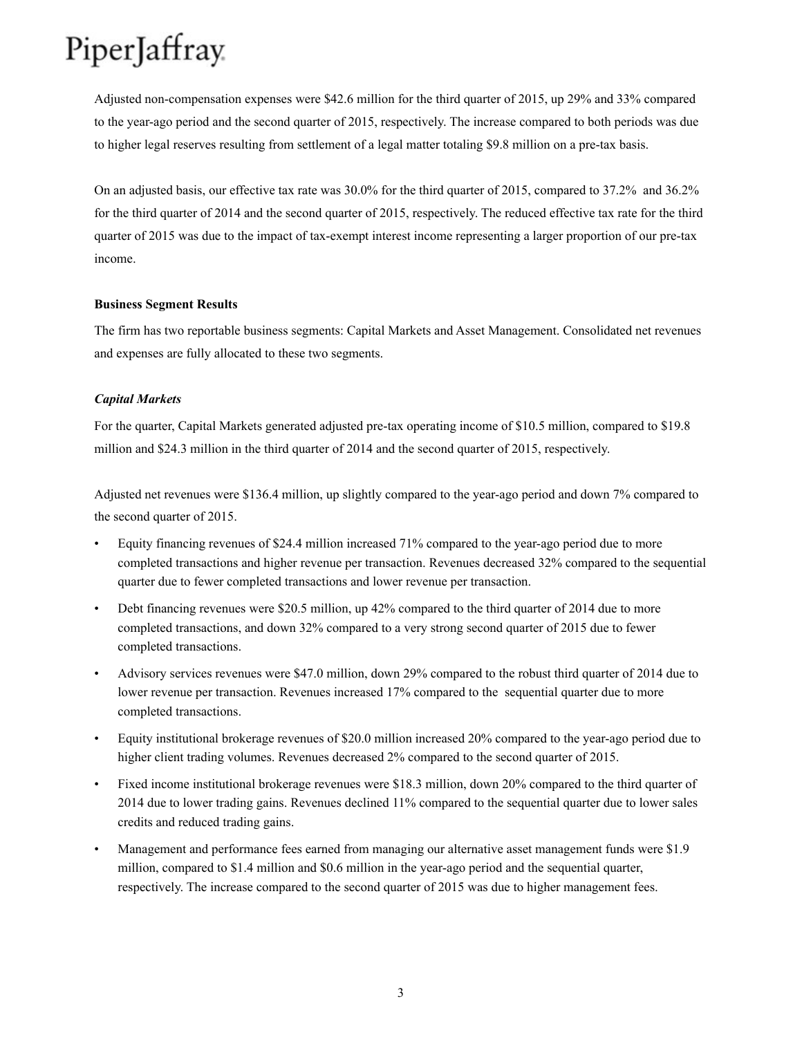Adjusted non-compensation expenses were \$42.6 million for the third quarter of 2015, up 29% and 33% compared to the year-ago period and the second quarter of 2015, respectively. The increase compared to both periods was due to higher legal reserves resulting from settlement of a legal matter totaling \$9.8 million on a pre-tax basis.

On an adjusted basis, our effective tax rate was 30.0% for the third quarter of 2015, compared to 37.2% and 36.2% for the third quarter of 2014 and the second quarter of 2015, respectively. The reduced effective tax rate for the third quarter of 2015 was due to the impact of tax-exempt interest income representing a larger proportion of our pre-tax income.

#### **Business Segment Results**

The firm has two reportable business segments: Capital Markets and Asset Management. Consolidated net revenues and expenses are fully allocated to these two segments.

#### *Capital Markets*

For the quarter, Capital Markets generated adjusted pre-tax operating income of \$10.5 million, compared to \$19.8 million and \$24.3 million in the third quarter of 2014 and the second quarter of 2015, respectively.

Adjusted net revenues were \$136.4 million, up slightly compared to the year-ago period and down 7% compared to the second quarter of 2015.

- Equity financing revenues of \$24.4 million increased 71% compared to the year-ago period due to more completed transactions and higher revenue per transaction. Revenues decreased 32% compared to the sequential quarter due to fewer completed transactions and lower revenue per transaction.
- Debt financing revenues were \$20.5 million, up 42% compared to the third quarter of 2014 due to more completed transactions, and down 32% compared to a very strong second quarter of 2015 due to fewer completed transactions.
- Advisory services revenues were \$47.0 million, down 29% compared to the robust third quarter of 2014 due to lower revenue per transaction. Revenues increased 17% compared to the sequential quarter due to more completed transactions.
- Equity institutional brokerage revenues of \$20.0 million increased 20% compared to the year-ago period due to higher client trading volumes. Revenues decreased 2% compared to the second quarter of 2015.
- Fixed income institutional brokerage revenues were \$18.3 million, down 20% compared to the third quarter of 2014 due to lower trading gains. Revenues declined 11% compared to the sequential quarter due to lower sales credits and reduced trading gains.
- Management and performance fees earned from managing our alternative asset management funds were \$1.9 million, compared to \$1.4 million and \$0.6 million in the year-ago period and the sequential quarter, respectively. The increase compared to the second quarter of 2015 was due to higher management fees.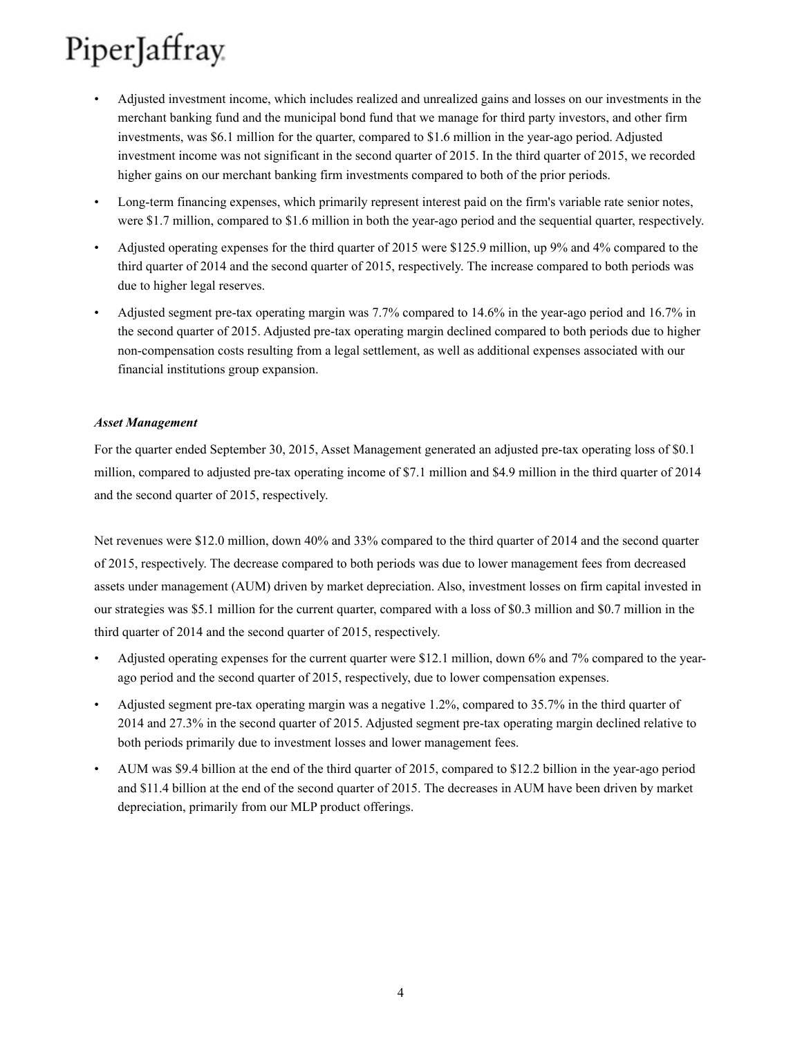- Adjusted investment income, which includes realized and unrealized gains and losses on our investments in the merchant banking fund and the municipal bond fund that we manage for third party investors, and other firm investments, was \$6.1 million for the quarter, compared to \$1.6 million in the year-ago period. Adjusted investment income was not significant in the second quarter of 2015. In the third quarter of 2015, we recorded higher gains on our merchant banking firm investments compared to both of the prior periods.
- Long-term financing expenses, which primarily represent interest paid on the firm's variable rate senior notes, were \$1.7 million, compared to \$1.6 million in both the year-ago period and the sequential quarter, respectively.
- Adjusted operating expenses for the third quarter of 2015 were \$125.9 million, up 9% and 4% compared to the third quarter of 2014 and the second quarter of 2015, respectively. The increase compared to both periods was due to higher legal reserves.
- Adjusted segment pre-tax operating margin was 7.7% compared to 14.6% in the year-ago period and 16.7% in the second quarter of 2015. Adjusted pre-tax operating margin declined compared to both periods due to higher non-compensation costs resulting from a legal settlement, as well as additional expenses associated with our financial institutions group expansion.

#### *Asset Management*

For the quarter ended September 30, 2015, Asset Management generated an adjusted pre-tax operating loss of \$0.1 million, compared to adjusted pre-tax operating income of \$7.1 million and \$4.9 million in the third quarter of 2014 and the second quarter of 2015, respectively.

Net revenues were \$12.0 million, down 40% and 33% compared to the third quarter of 2014 and the second quarter of 2015, respectively. The decrease compared to both periods was due to lower management fees from decreased assets under management (AUM) driven by market depreciation. Also, investment losses on firm capital invested in our strategies was \$5.1 million for the current quarter, compared with a loss of \$0.3 million and \$0.7 million in the third quarter of 2014 and the second quarter of 2015, respectively.

- Adjusted operating expenses for the current quarter were \$12.1 million, down 6% and 7% compared to the yearago period and the second quarter of 2015, respectively, due to lower compensation expenses.
- Adjusted segment pre-tax operating margin was a negative 1.2%, compared to 35.7% in the third quarter of 2014 and 27.3% in the second quarter of 2015. Adjusted segment pre-tax operating margin declined relative to both periods primarily due to investment losses and lower management fees.
- AUM was \$9.4 billion at the end of the third quarter of 2015, compared to \$12.2 billion in the year-ago period and \$11.4 billion at the end of the second quarter of 2015. The decreases in AUM have been driven by market depreciation, primarily from our MLP product offerings.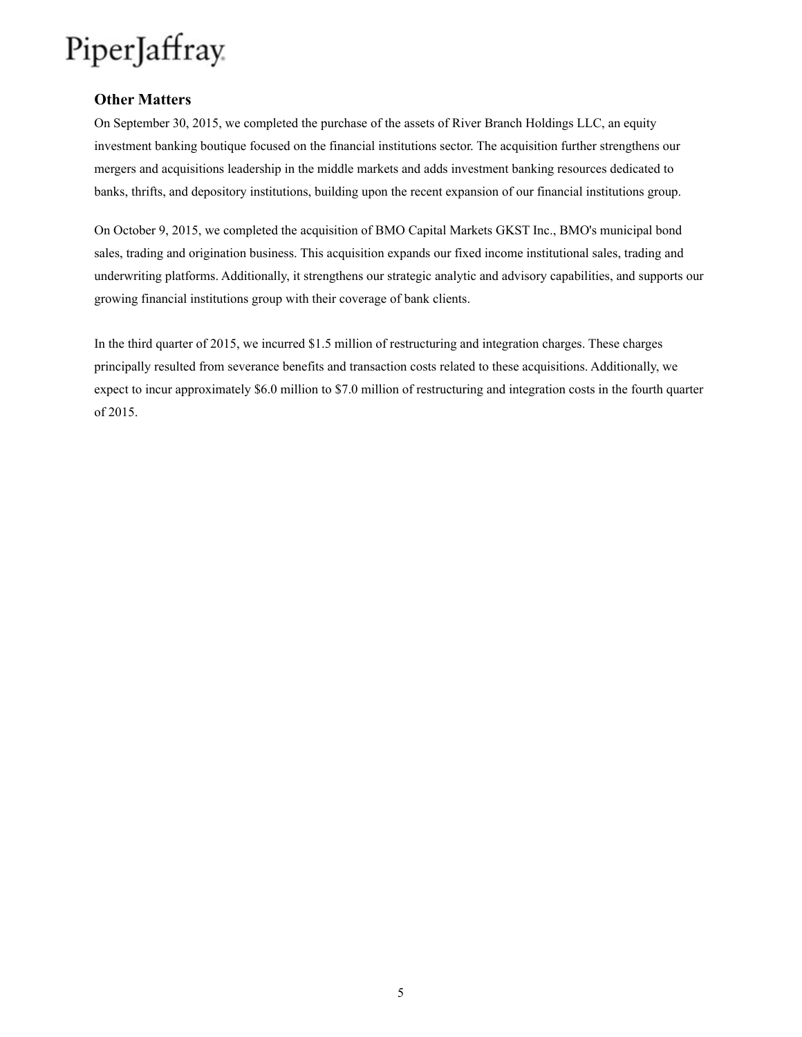### **Other Matters**

On September 30, 2015, we completed the purchase of the assets of River Branch Holdings LLC, an equity investment banking boutique focused on the financial institutions sector. The acquisition further strengthens our mergers and acquisitions leadership in the middle markets and adds investment banking resources dedicated to banks, thrifts, and depository institutions, building upon the recent expansion of our financial institutions group.

On October 9, 2015, we completed the acquisition of BMO Capital Markets GKST Inc., BMO's municipal bond sales, trading and origination business. This acquisition expands our fixed income institutional sales, trading and underwriting platforms. Additionally, it strengthens our strategic analytic and advisory capabilities, and supports our growing financial institutions group with their coverage of bank clients.

In the third quarter of 2015, we incurred \$1.5 million of restructuring and integration charges. These charges principally resulted from severance benefits and transaction costs related to these acquisitions. Additionally, we expect to incur approximately \$6.0 million to \$7.0 million of restructuring and integration costs in the fourth quarter of 2015.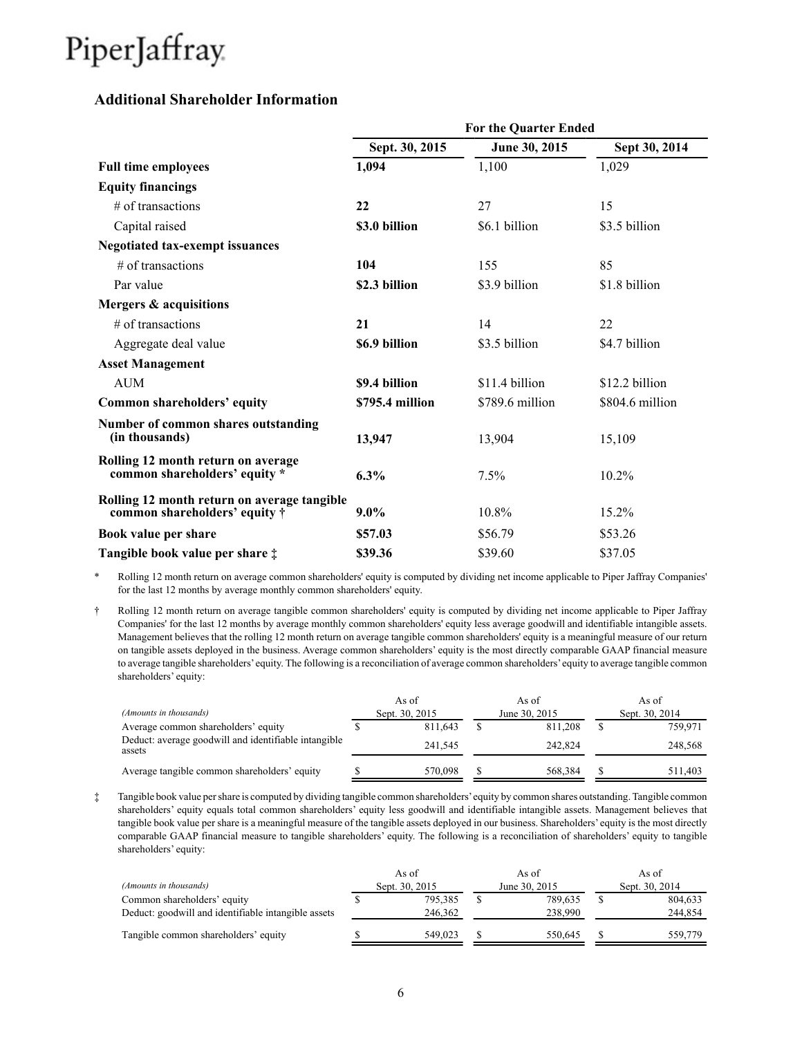### **Additional Shareholder Information**

|                                                                                      | For the Quarter Ended |                 |                 |  |  |  |  |  |  |  |
|--------------------------------------------------------------------------------------|-----------------------|-----------------|-----------------|--|--|--|--|--|--|--|
|                                                                                      | Sept. 30, 2015        | June 30, 2015   | Sept 30, 2014   |  |  |  |  |  |  |  |
| <b>Full time employees</b>                                                           | 1,094                 | 1,100           | 1,029           |  |  |  |  |  |  |  |
| <b>Equity financings</b>                                                             |                       |                 |                 |  |  |  |  |  |  |  |
| $#$ of transactions                                                                  | 22                    | 27              | 15              |  |  |  |  |  |  |  |
| Capital raised                                                                       | \$3.0 billion         | \$6.1 billion   | \$3.5 billion   |  |  |  |  |  |  |  |
| <b>Negotiated tax-exempt issuances</b>                                               |                       |                 |                 |  |  |  |  |  |  |  |
| $#$ of transactions                                                                  | 104                   | 155             | 85              |  |  |  |  |  |  |  |
| Par value                                                                            | \$2.3 billion         | \$3.9 billion   | \$1.8 billion   |  |  |  |  |  |  |  |
| Mergers & acquisitions                                                               |                       |                 |                 |  |  |  |  |  |  |  |
| $#$ of transactions                                                                  | 21                    | 14              | 22              |  |  |  |  |  |  |  |
| Aggregate deal value                                                                 | \$6.9 billion         | \$3.5 billion   | \$4.7 billion   |  |  |  |  |  |  |  |
| <b>Asset Management</b>                                                              |                       |                 |                 |  |  |  |  |  |  |  |
| <b>AUM</b>                                                                           | \$9.4 billion         | \$11.4 billion  | \$12.2 billion  |  |  |  |  |  |  |  |
| Common shareholders' equity                                                          | \$795.4 million       | \$789.6 million | \$804.6 million |  |  |  |  |  |  |  |
| Number of common shares outstanding<br>(in thousands)                                | 13,947                | 13,904          | 15,109          |  |  |  |  |  |  |  |
| Rolling 12 month return on average<br>common shareholders' equity *                  | 6.3%                  | 7.5%            | 10.2%           |  |  |  |  |  |  |  |
| Rolling 12 month return on average tangible<br>common shareholders' equity $\dagger$ | $9.0\%$               | 10.8%           | $15.2\%$        |  |  |  |  |  |  |  |
| Book value per share                                                                 | \$57.03               | \$56.79         | \$53.26         |  |  |  |  |  |  |  |
| Tangible book value per share $\ddagger$                                             | \$39.36               | \$39.60         | \$37.05         |  |  |  |  |  |  |  |

\* Rolling 12 month return on average common shareholders' equity is computed by dividing net income applicable to Piper Jaffray Companies' for the last 12 months by average monthly common shareholders' equity.

† Rolling 12 month return on average tangible common shareholders' equity is computed by dividing net income applicable to Piper Jaffray Companies' for the last 12 months by average monthly common shareholders' equity less average goodwill and identifiable intangible assets. Management believes that the rolling 12 month return on average tangible common shareholders' equity is a meaningful measure of our return on tangible assets deployed in the business. Average common shareholders' equity is the most directly comparable GAAP financial measure to average tangible shareholders'equity. The following is a reconciliation of average common shareholders'equity to average tangible common shareholders' equity:

| (Amounts in thousands)                                         |  | As of<br>Sept. 30, 2015 | As of<br>June 30, 2015 | As of<br>Sept. 30, 2014 |
|----------------------------------------------------------------|--|-------------------------|------------------------|-------------------------|
| Average common shareholders' equity                            |  | 811.643                 | 811.208                | 759.971                 |
| Deduct: average goodwill and identifiable intangible<br>assets |  | 241.545                 | 242.824                | 248,568                 |
| Average tangible common shareholders' equity                   |  | 570.098                 | 568.384                | 511.403                 |

‡ Tangible book value per share is computed by dividing tangible common shareholders'equity by common shares outstanding. Tangible common shareholders' equity equals total common shareholders' equity less goodwill and identifiable intangible assets. Management believes that tangible book value per share is a meaningful measure of the tangible assets deployed in our business. Shareholders' equity is the most directly comparable GAAP financial measure to tangible shareholders' equity. The following is a reconciliation of shareholders' equity to tangible shareholders' equity:

|                                                     | As of          | As of         | As of          |
|-----------------------------------------------------|----------------|---------------|----------------|
| (Amounts in thousands)                              | Sept. 30, 2015 | June 30, 2015 | Sept. 30, 2014 |
| Common shareholders' equity                         | 795.385        | 789.635       | 804,633        |
| Deduct: goodwill and identifiable intangible assets | 246.362        | 238,990       | 244.854        |
| Tangible common shareholders' equity                | 549.023        | 550.645       | 559,779        |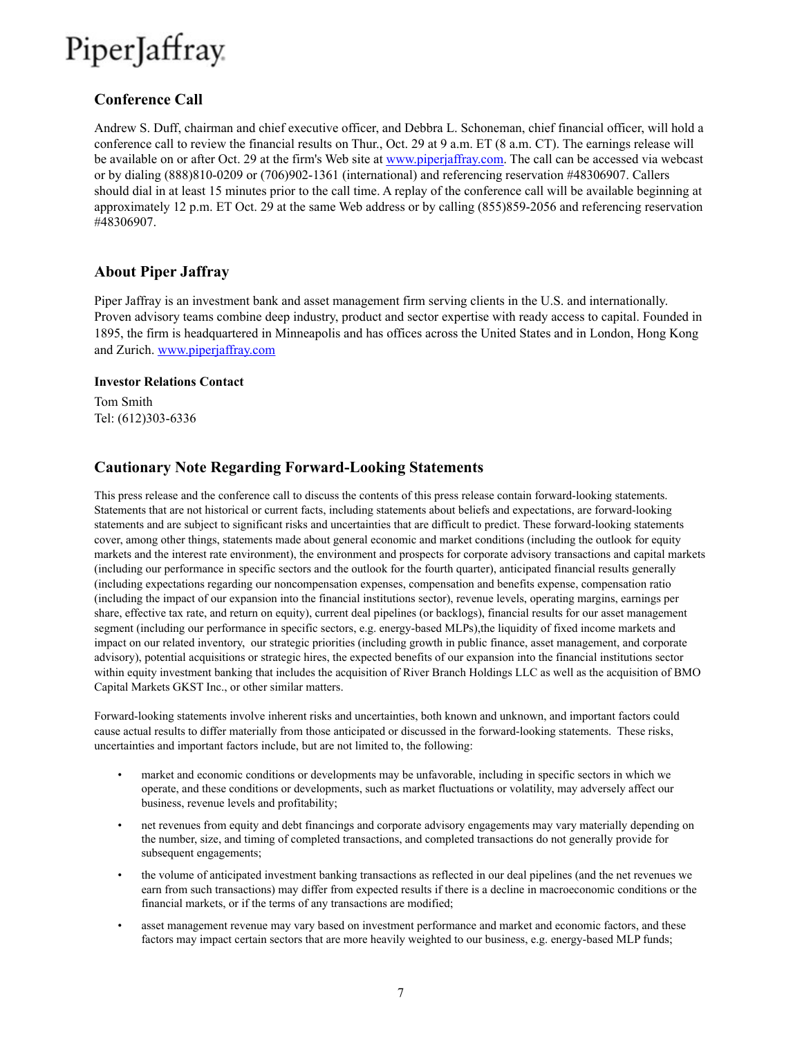### **Conference Call**

Andrew S. Duff, chairman and chief executive officer, and Debbra L. Schoneman, chief financial officer, will hold a conference call to review the financial results on Thur., Oct. 29 at 9 a.m. ET (8 a.m. CT). The earnings release will be available on or after Oct. 29 at the firm's Web site at www.piperjaffray.com. The call can be accessed via webcast or by dialing (888)810-0209 or (706)902-1361 (international) and referencing reservation #48306907. Callers should dial in at least 15 minutes prior to the call time. A replay of the conference call will be available beginning at approximately 12 p.m. ET Oct. 29 at the same Web address or by calling (855)859-2056 and referencing reservation #48306907.

### **About Piper Jaffray**

Piper Jaffray is an investment bank and asset management firm serving clients in the U.S. and internationally. Proven advisory teams combine deep industry, product and sector expertise with ready access to capital. Founded in 1895, the firm is headquartered in Minneapolis and has offices across the United States and in London, Hong Kong and Zurich. www.piperjaffray.com

#### **Investor Relations Contact**

Tom Smith Tel: (612)303-6336

### **Cautionary Note Regarding Forward-Looking Statements**

This press release and the conference call to discuss the contents of this press release contain forward-looking statements. Statements that are not historical or current facts, including statements about beliefs and expectations, are forward-looking statements and are subject to significant risks and uncertainties that are difficult to predict. These forward-looking statements cover, among other things, statements made about general economic and market conditions (including the outlook for equity markets and the interest rate environment), the environment and prospects for corporate advisory transactions and capital markets (including our performance in specific sectors and the outlook for the fourth quarter), anticipated financial results generally (including expectations regarding our noncompensation expenses, compensation and benefits expense, compensation ratio (including the impact of our expansion into the financial institutions sector), revenue levels, operating margins, earnings per share, effective tax rate, and return on equity), current deal pipelines (or backlogs), financial results for our asset management segment (including our performance in specific sectors, e.g. energy-based MLPs),the liquidity of fixed income markets and impact on our related inventory, our strategic priorities (including growth in public finance, asset management, and corporate advisory), potential acquisitions or strategic hires, the expected benefits of our expansion into the financial institutions sector within equity investment banking that includes the acquisition of River Branch Holdings LLC as well as the acquisition of BMO Capital Markets GKST Inc., or other similar matters.

Forward-looking statements involve inherent risks and uncertainties, both known and unknown, and important factors could cause actual results to differ materially from those anticipated or discussed in the forward-looking statements. These risks, uncertainties and important factors include, but are not limited to, the following:

- market and economic conditions or developments may be unfavorable, including in specific sectors in which we operate, and these conditions or developments, such as market fluctuations or volatility, may adversely affect our business, revenue levels and profitability;
- net revenues from equity and debt financings and corporate advisory engagements may vary materially depending on the number, size, and timing of completed transactions, and completed transactions do not generally provide for subsequent engagements;
- the volume of anticipated investment banking transactions as reflected in our deal pipelines (and the net revenues we earn from such transactions) may differ from expected results if there is a decline in macroeconomic conditions or the financial markets, or if the terms of any transactions are modified;
- asset management revenue may vary based on investment performance and market and economic factors, and these factors may impact certain sectors that are more heavily weighted to our business, e.g. energy-based MLP funds;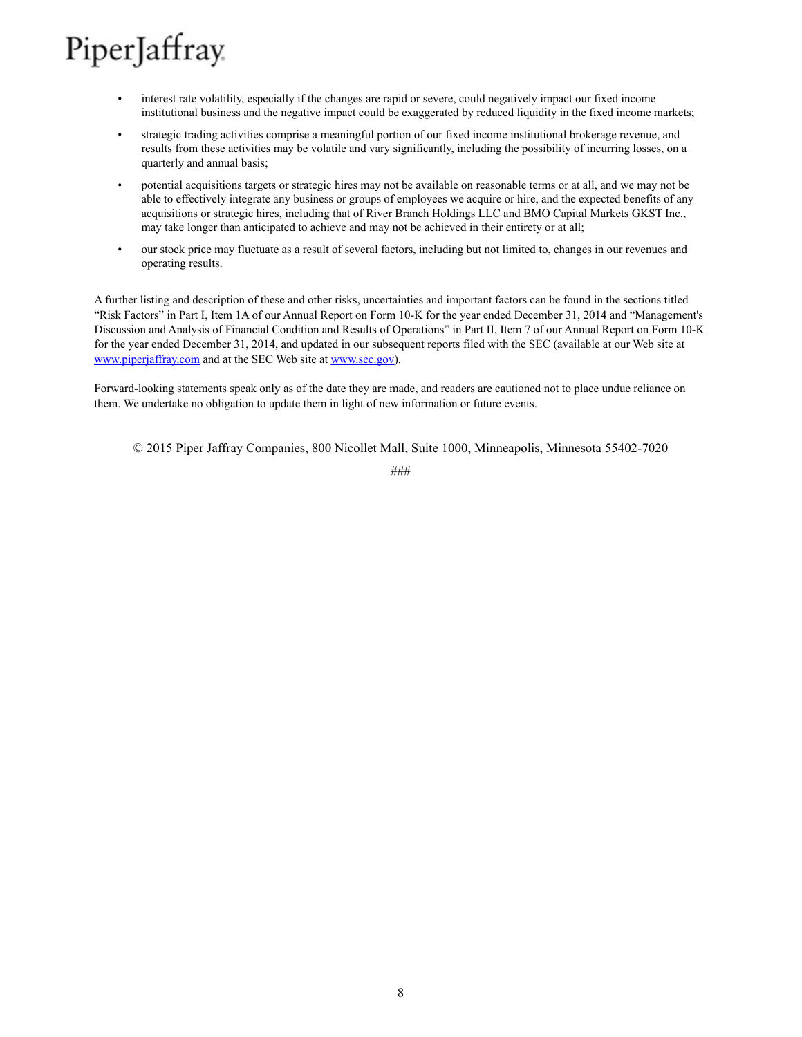- interest rate volatility, especially if the changes are rapid or severe, could negatively impact our fixed income institutional business and the negative impact could be exaggerated by reduced liquidity in the fixed income markets;
- strategic trading activities comprise a meaningful portion of our fixed income institutional brokerage revenue, and results from these activities may be volatile and vary significantly, including the possibility of incurring losses, on a quarterly and annual basis;
- potential acquisitions targets or strategic hires may not be available on reasonable terms or at all, and we may not be able to effectively integrate any business or groups of employees we acquire or hire, and the expected benefits of any acquisitions or strategic hires, including that of River Branch Holdings LLC and BMO Capital Markets GKST Inc., may take longer than anticipated to achieve and may not be achieved in their entirety or at all;
- our stock price may fluctuate as a result of several factors, including but not limited to, changes in our revenues and operating results.

A further listing and description of these and other risks, uncertainties and important factors can be found in the sections titled "Risk Factors" in Part I, Item 1A of our Annual Report on Form 10-K for the year ended December 31, 2014 and "Management's Discussion and Analysis of Financial Condition and Results of Operations" in Part II, Item 7 of our Annual Report on Form 10-K for the year ended December 31, 2014, and updated in our subsequent reports filed with the SEC (available at our Web site at www.piperjaffray.com and at the SEC Web site at www.sec.gov).

Forward-looking statements speak only as of the date they are made, and readers are cautioned not to place undue reliance on them. We undertake no obligation to update them in light of new information or future events.

© 2015 Piper Jaffray Companies, 800 Nicollet Mall, Suite 1000, Minneapolis, Minnesota 55402-7020

###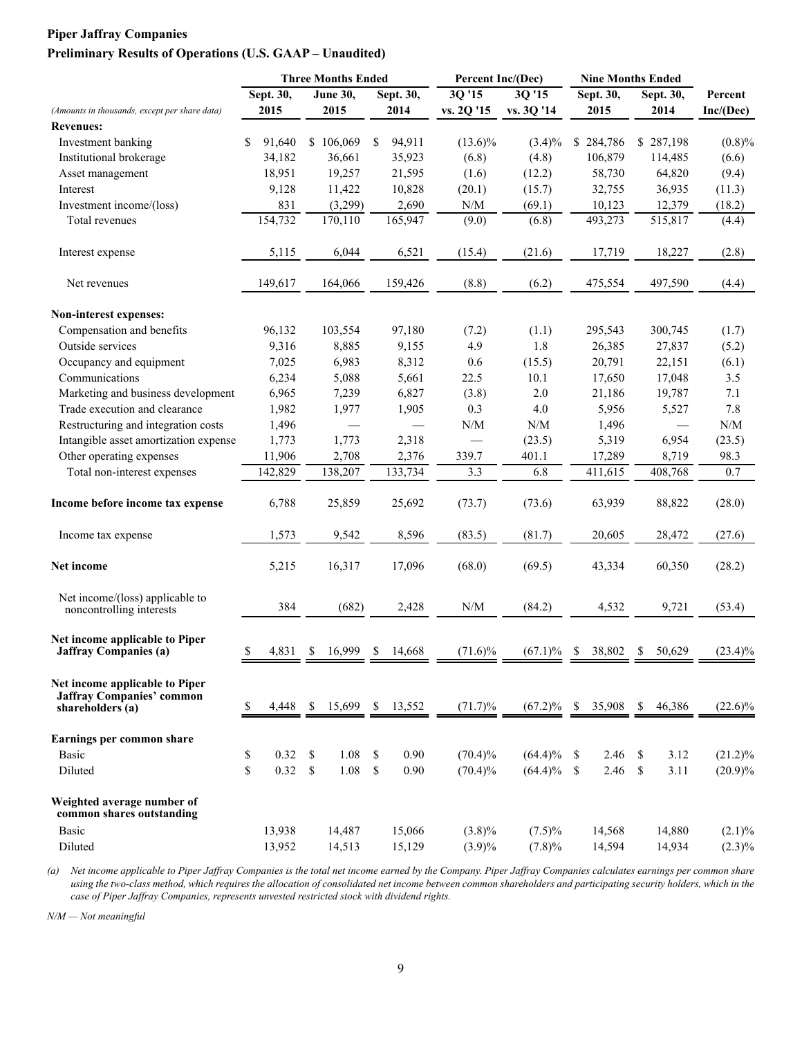### **Piper Jaffray Companies Preliminary Results of Operations (U.S. GAAP – Unaudited)**

|                                                                                        |              |               | <b>Three Months Ended</b> |              | Percent Inc/(Dec) |            |  |               | <b>Nine Months Ended</b> |           |    |           |            |  |  |
|----------------------------------------------------------------------------------------|--------------|---------------|---------------------------|--------------|-------------------|------------|--|---------------|--------------------------|-----------|----|-----------|------------|--|--|
|                                                                                        | Sept. 30,    |               | <b>June 30,</b>           | Sept. 30,    |                   | 3Q '15     |  | 3Q '15        |                          | Sept. 30, |    | Sept. 30, | Percent    |  |  |
| (Amounts in thousands, except per share data)                                          | 2015         |               | 2015                      | 2014         |                   | vs. 2Q '15 |  | vs. 3Q '14    |                          | 2015      |    | 2014      | Inc/(Dec)  |  |  |
| <b>Revenues:</b>                                                                       |              |               |                           |              |                   |            |  |               |                          |           |    |           |            |  |  |
| Investment banking                                                                     | \$<br>91,640 |               | \$106,069                 | \$<br>94,911 |                   | $(13.6)\%$ |  | $(3.4)\%$     |                          | \$284,786 |    | \$287,198 | (0.8)%     |  |  |
| Institutional brokerage                                                                | 34,182       |               | 36,661                    | 35,923       |                   | (6.8)      |  | (4.8)         |                          | 106,879   |    | 114,485   | (6.6)      |  |  |
| Asset management                                                                       | 18,951       |               | 19,257                    | 21,595       |                   | (1.6)      |  | (12.2)        |                          | 58,730    |    | 64,820    | (9.4)      |  |  |
| Interest                                                                               | 9,128        |               | 11,422                    | 10,828       |                   | (20.1)     |  | (15.7)        |                          | 32,755    |    | 36,935    | (11.3)     |  |  |
| Investment income/(loss)                                                               | 831          |               | (3,299)                   | 2,690        |                   | N/M        |  | (69.1)        |                          | 10,123    |    | 12,379    | (18.2)     |  |  |
| Total revenues                                                                         | 154,732      |               | 170,110                   | 165,947      |                   | (9.0)      |  | (6.8)         |                          | 493,273   |    | 515,817   | (4.4)      |  |  |
| Interest expense                                                                       | 5,115        |               | 6,044                     | 6,521        |                   | (15.4)     |  | (21.6)        |                          | 17,719    |    | 18,227    | (2.8)      |  |  |
| Net revenues                                                                           | 149,617      |               | 164,066                   | 159,426      |                   | (8.8)      |  | (6.2)         |                          | 475,554   |    | 497,590   | (4.4)      |  |  |
| Non-interest expenses:                                                                 |              |               |                           |              |                   |            |  |               |                          |           |    |           |            |  |  |
| Compensation and benefits                                                              | 96,132       |               | 103,554                   | 97,180       |                   | (7.2)      |  | (1.1)         |                          | 295,543   |    | 300,745   | (1.7)      |  |  |
| Outside services                                                                       | 9,316        |               | 8,885                     | 9,155        |                   | 4.9        |  | 1.8           |                          | 26,385    |    | 27,837    | (5.2)      |  |  |
| Occupancy and equipment                                                                | 7,025        |               | 6,983                     | 8,312        |                   | 0.6        |  | (15.5)        |                          | 20,791    |    | 22,151    | (6.1)      |  |  |
| Communications                                                                         | 6,234        |               | 5,088                     | 5,661        |                   | 22.5       |  | 10.1          |                          | 17,650    |    | 17,048    | 3.5        |  |  |
| Marketing and business development                                                     | 6,965        |               | 7,239                     | 6,827        |                   | (3.8)      |  | 2.0           |                          | 21,186    |    | 19,787    | 7.1        |  |  |
| Trade execution and clearance                                                          | 1,982        |               | 1,977                     | 1,905        |                   | 0.3        |  | 4.0           |                          | 5,956     |    | 5,527     | 7.8        |  |  |
| Restructuring and integration costs                                                    | 1,496        |               |                           |              |                   | N/M        |  | N/M           |                          | 1,496     |    |           | N/M        |  |  |
| Intangible asset amortization expense                                                  | 1,773        |               | 1,773                     | 2,318        |                   |            |  | (23.5)        |                          | 5,319     |    | 6,954     | (23.5)     |  |  |
| Other operating expenses                                                               | 11,906       |               | 2,708                     | 2,376        |                   | 339.7      |  | 401.1         |                          | 17,289    |    | 8,719     | 98.3       |  |  |
| Total non-interest expenses                                                            | 142,829      |               | 138,207                   | 133,734      |                   | 3.3        |  | 6.8           |                          | 411,615   |    | 408,768   | 0.7        |  |  |
| Income before income tax expense                                                       | 6,788        |               | 25,859                    | 25,692       |                   | (73.7)     |  | (73.6)        |                          | 63,939    |    | 88,822    | (28.0)     |  |  |
| Income tax expense                                                                     | 1,573        |               | 9,542                     | 8,596        |                   | (83.5)     |  | (81.7)        |                          | 20,605    |    | 28,472    | (27.6)     |  |  |
| Net income                                                                             | 5,215        |               | 16,317                    | 17,096       |                   | (68.0)     |  | (69.5)        |                          | 43,334    |    | 60,350    | (28.2)     |  |  |
| Net income/(loss) applicable to<br>noncontrolling interests                            | 384          |               | (682)                     | 2,428        |                   | N/M        |  | (84.2)        |                          | 4,532     |    | 9,721     | (53.4)     |  |  |
| Net income applicable to Piper<br><b>Jaffray Companies (a)</b>                         | \$<br>4,831  | \$            | 16,999                    | \$<br>14.668 |                   | $(71.6)\%$ |  | $(67.1)\%$    | \$                       | 38,802    | \$ | 50,629    | $(23.4)\%$ |  |  |
| Net income applicable to Piper<br><b>Jaffray Companies' common</b><br>shareholders (a) | \$<br>4,448  | <sup>\$</sup> | 15,699                    | \$<br>13,552 |                   | $(71.7)\%$ |  | $(67.2)\%$    | \$                       | 35,908    | \$ | 46,386    | $(22.6)\%$ |  |  |
| Earnings per common share                                                              |              |               |                           |              |                   |            |  |               |                          |           |    |           |            |  |  |
| <b>Basic</b>                                                                           | \$<br>0.32   | \$            | 1.08                      | \$<br>0.90   |                   | $(70.4)\%$ |  | $(64.4)\%$    | -S                       | 2.46      | \$ | 3.12      | $(21.2)\%$ |  |  |
| Diluted                                                                                | \$<br>0.32   | \$            | 1.08                      | \$<br>0.90   |                   | $(70.4)\%$ |  | $(64.4)\%$ \$ |                          | 2.46      | \$ | 3.11      | $(20.9)\%$ |  |  |
| Weighted average number of<br>common shares outstanding                                |              |               |                           |              |                   |            |  |               |                          |           |    |           |            |  |  |
| <b>Basic</b>                                                                           | 13,938       |               | 14,487                    | 15,066       |                   | $(3.8)\%$  |  | $(7.5)\%$     |                          | 14,568    |    | 14,880    | $(2.1)\%$  |  |  |
| Diluted                                                                                | 13,952       |               | 14,513                    | 15,129       |                   | $(3.9)\%$  |  | $(7.8)\%$     |                          | 14,594    |    | 14,934    | $(2.3)\%$  |  |  |

*(a) Net income applicable to Piper Jaffray Companies is the total net income earned by the Company. Piper Jaffray Companies calculates earnings per common share*  using the two-class method, which requires the allocation of consolidated net income between common shareholders and participating security holders, which in the *case of Piper Jaffray Companies, represents unvested restricted stock with dividend rights.*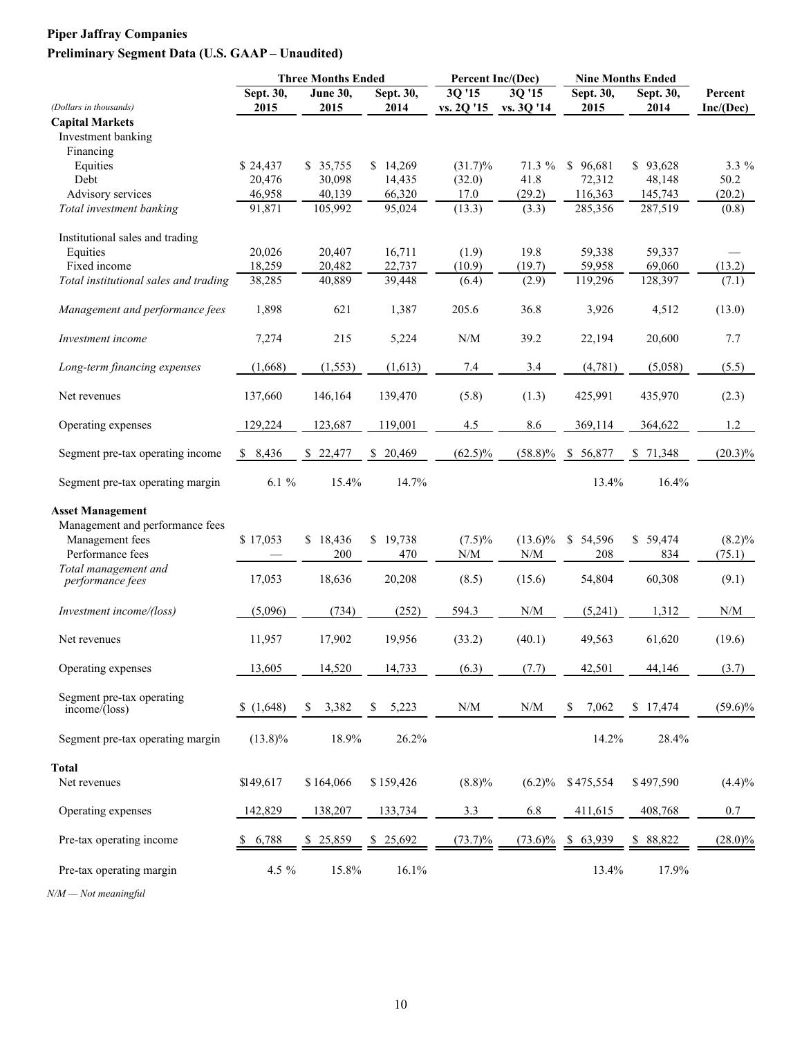## **Piper Jaffray Companies Preliminary Segment Data (U.S. GAAP – Unaudited)**

|                                                     |             | <b>Three Months Ended</b> |             | Percent Inc/(Dec)                                           |                                                             | <b>Nine Months Ended</b> |           |                                                             |  |
|-----------------------------------------------------|-------------|---------------------------|-------------|-------------------------------------------------------------|-------------------------------------------------------------|--------------------------|-----------|-------------------------------------------------------------|--|
| (Dollars in thousands)                              | Sept. 30,   | <b>June 30,</b>           | Sept. 30,   | 3Q '15                                                      | 30'15                                                       | Sept. 30,                | Sept. 30, | Percent                                                     |  |
|                                                     | 2015        | 2015                      | 2014        | vs. 2Q '15                                                  | vs. 3Q '14                                                  | 2015                     | 2014      | Inc/(Dec)                                                   |  |
| <b>Capital Markets</b><br>Investment banking        |             |                           |             |                                                             |                                                             |                          |           |                                                             |  |
| Financing                                           |             |                           |             |                                                             |                                                             |                          |           |                                                             |  |
| Equities                                            | \$24,437    | \$35,755                  | \$14,269    | $(31.7)\%$                                                  | 71.3 %                                                      | \$96,681                 | \$93,628  | 3.3 %                                                       |  |
| Debt                                                | 20,476      | 30,098                    | 14,435      | (32.0)                                                      | 41.8                                                        | 72,312                   | 48,148    | 50.2                                                        |  |
| Advisory services                                   | 46,958      | 40,139                    | 66,320      | 17.0                                                        | (29.2)                                                      | 116,363                  | 145,743   | (20.2)                                                      |  |
| Total investment banking                            | 91,871      | 105,992                   | 95,024      | (13.3)                                                      | (3.3)                                                       | 285,356                  | 287,519   | (0.8)                                                       |  |
|                                                     |             |                           |             |                                                             |                                                             |                          |           |                                                             |  |
| Institutional sales and trading                     |             |                           |             |                                                             |                                                             |                          |           |                                                             |  |
| Equities                                            | 20,026      | 20,407                    | 16,711      | (1.9)                                                       | 19.8                                                        | 59,338                   | 59,337    |                                                             |  |
| Fixed income                                        | 18,259      | 20,482                    | 22,737      | (10.9)                                                      | (19.7)                                                      | 59,958                   | 69,060    | (13.2)                                                      |  |
| Total institutional sales and trading               | 38,285      | 40,889                    | 39,448      | (6.4)                                                       | (2.9)                                                       | 119,296                  | 128,397   | (7.1)                                                       |  |
| Management and performance fees                     | 1,898       | 621                       | 1,387       | 205.6                                                       | 36.8                                                        | 3,926                    | 4,512     | (13.0)                                                      |  |
| Investment income                                   | 7,274       | 215                       | 5,224       | N/M                                                         | 39.2                                                        | 22,194                   | 20,600    | 7.7                                                         |  |
|                                                     |             |                           |             |                                                             |                                                             |                          |           |                                                             |  |
| Long-term financing expenses                        | (1,668)     | (1, 553)                  | (1,613)     | $7.4\,$                                                     | 3.4                                                         | (4,781)                  | (5,058)   | (5.5)                                                       |  |
| Net revenues                                        | 137,660     | 146,164                   | 139,470     | (5.8)                                                       | (1.3)                                                       | 425,991                  | 435,970   | (2.3)                                                       |  |
| Operating expenses                                  | 129,224     | 123,687                   | 119,001     | 4.5                                                         | 8.6                                                         | 369,114                  | 364,622   | 1.2                                                         |  |
| Segment pre-tax operating income                    | \$8,436     | \$22,477                  | \$20,469    | $(62.5)\%$                                                  | $(58.8)\%$                                                  | \$ 56,877                | \$71,348  | $(20.3)\%$                                                  |  |
| Segment pre-tax operating margin                    | $6.1\%$     | 15.4%                     | 14.7%       |                                                             |                                                             | 13.4%                    | 16.4%     |                                                             |  |
| <b>Asset Management</b>                             |             |                           |             |                                                             |                                                             |                          |           |                                                             |  |
| Management and performance fees                     |             |                           |             |                                                             |                                                             |                          |           |                                                             |  |
| Management fees                                     | \$17,053    | \$18,436                  | \$19,738    | $(7.5)\%$                                                   | $(13.6)\%$                                                  | \$ 54,596                | \$59,474  | $(8.2)\%$                                                   |  |
| Performance fees                                    |             | 200                       | 470         | $\ensuremath{\text{N}}\xspace/\ensuremath{\text{M}}\xspace$ | $\ensuremath{\text{N}}\xspace/\ensuremath{\text{M}}\xspace$ | 208                      | 834       | (75.1)                                                      |  |
| Total management and                                |             |                           |             |                                                             |                                                             |                          |           |                                                             |  |
| performance fees                                    | 17,053      | 18,636                    | 20,208      | (8.5)                                                       | (15.6)                                                      | 54,804                   | 60,308    | (9.1)                                                       |  |
| Investment income/(loss)                            | (5,096)     | (734)                     | (252)       | 594.3                                                       | N/M                                                         | (5,241)                  | 1,312     | $\ensuremath{\text{N}}\xspace/\ensuremath{\text{M}}\xspace$ |  |
| Net revenues                                        | 11,957      | 17,902                    | 19,956      | (33.2)                                                      | (40.1)                                                      | 49,563                   | 61,620    | (19.6)                                                      |  |
| Operating expenses                                  | 13,605      | 14,520                    | 14,733      | (6.3)                                                       | (7.7)                                                       | 42,501                   | 44,146    | (3.7)                                                       |  |
|                                                     |             |                           |             |                                                             |                                                             |                          |           |                                                             |  |
| Segment pre-tax operating<br>$income/(\text{loss})$ | (1,648)     | 3,382<br>S.               | 5,223<br>\$ | $\ensuremath{\text{N}}\xspace/\ensuremath{\text{M}}\xspace$ | $\ensuremath{\text{N}}/\ensuremath{\text{M}}$               | \$<br>7,062              | \$17,474  | $(59.6)\%$                                                  |  |
| Segment pre-tax operating margin                    | $(13.8)\%$  | 18.9%                     | 26.2%       |                                                             |                                                             | 14.2%                    | 28.4%     |                                                             |  |
| <b>Total</b>                                        |             |                           |             |                                                             |                                                             |                          |           |                                                             |  |
|                                                     |             |                           |             |                                                             |                                                             |                          |           |                                                             |  |
| Net revenues                                        | \$149,617   | \$164,066                 | \$159,426   | (8.8)%                                                      |                                                             | $(6.2)\%$ \$475,554      | \$497,590 | (4.4)%                                                      |  |
| Operating expenses                                  | 142,829     | 138,207                   | 133,734     | 3.3                                                         | 6.8                                                         | 411,615                  | 408,768   | 0.7                                                         |  |
| Pre-tax operating income                            | 6,788<br>Y. | \$25,859                  | \$25,692    | $(73.7)\%$                                                  | $(73.6)\%$                                                  | \$63,939                 | \$ 88,822 | $(28.0)\%$                                                  |  |
| Pre-tax operating margin                            | 4.5 %       | 15.8%                     | 16.1%       |                                                             |                                                             | 13.4%                    | 17.9%     |                                                             |  |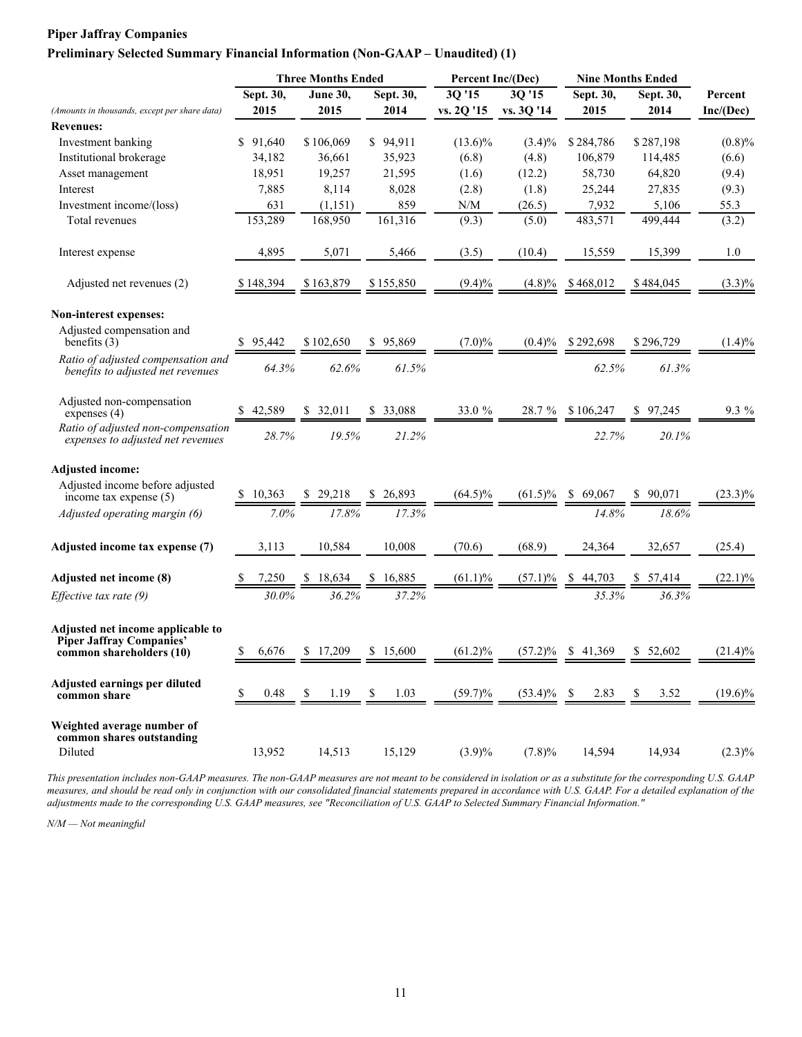#### **Preliminary Selected Summary Financial Information (Non-GAAP – Unaudited) (1)**

|                                                                                                  |              | <b>Three Months Ended</b> |              | Percent Inc/(Dec)                                           |            | <b>Nine Months Ended</b> |            |            |
|--------------------------------------------------------------------------------------------------|--------------|---------------------------|--------------|-------------------------------------------------------------|------------|--------------------------|------------|------------|
|                                                                                                  | Sept. 30,    | June 30,                  | Sept. 30,    | 3Q'15                                                       | 3Q '15     | Sept. 30,                | Sept. 30,  | Percent    |
| (Amounts in thousands, except per share data)                                                    | 2015         | 2015                      | 2014         | vs. 2Q '15                                                  | vs. 3Q '14 | 2015                     | 2014       | Inc/(Dec)  |
| <b>Revenues:</b>                                                                                 |              |                           |              |                                                             |            |                          |            |            |
| Investment banking                                                                               | \$91,640     | \$106,069                 | \$94,911     | $(13.6)\%$                                                  | $(3.4)\%$  | \$284,786                | \$287,198  | (0.8)%     |
| Institutional brokerage                                                                          | 34,182       | 36,661                    | 35,923       | (6.8)                                                       | (4.8)      | 106,879                  | 114,485    | (6.6)      |
| Asset management                                                                                 | 18,951       | 19,257                    | 21,595       | (1.6)                                                       | (12.2)     | 58,730                   | 64,820     | (9.4)      |
| Interest                                                                                         | 7,885        | 8,114                     | 8,028        | (2.8)                                                       | (1.8)      | 25,244                   | 27,835     | (9.3)      |
| Investment income/(loss)                                                                         | 631          | (1, 151)                  | 859          | $\ensuremath{\text{N}}\xspace/\ensuremath{\text{M}}\xspace$ | (26.5)     | 7,932                    | 5,106      | 55.3       |
| Total revenues                                                                                   | 153,289      | 168,950                   | 161,316      | (9.3)                                                       | (5.0)      | 483,571                  | 499,444    | (3.2)      |
| Interest expense                                                                                 | 4,895        | 5,071                     | 5,466        | (3.5)                                                       | (10.4)     | 15,559                   | 15,399     | 1.0        |
| Adjusted net revenues (2)                                                                        | \$148,394    | \$163,879                 | \$155,850    | $(9.4)\%$                                                   | (4.8)%     | \$468,012                | \$484,045  | $(3.3)\%$  |
| Non-interest expenses:                                                                           |              |                           |              |                                                             |            |                          |            |            |
| Adjusted compensation and<br>benefits $(3)$                                                      | \$95,442     | \$102.650                 | \$95,869     | $(7.0)\%$                                                   | $(0.4)\%$  | \$292,698                | \$296,729  | $(1.4)\%$  |
| Ratio of adjusted compensation and<br>benefits to adjusted net revenues                          | 64.3%        | 62.6%                     | 61.5%        |                                                             |            | 62.5%                    | 61.3%      |            |
| Adjusted non-compensation<br>expenses $(4)$                                                      | 42,589       | 32,011<br>S               | 33,088<br>S. | 33.0 %                                                      | 28.7 %     | \$106,247                | 97,245     | 9.3 %      |
| Ratio of adjusted non-compensation<br>expenses to adjusted net revenues                          | 28.7%        | 19.5%                     | 21.2%        |                                                             |            | 22.7%                    | 20.1%      |            |
| <b>Adjusted income:</b>                                                                          |              |                           |              |                                                             |            |                          |            |            |
| Adjusted income before adjusted<br>income tax expense (5)                                        | \$<br>10,363 | \$29,218                  | \$26,893     | $(64.5)\%$                                                  | $(61.5)\%$ | \$69,067                 | \$90,071   | $(23.3)\%$ |
| Adjusted operating margin (6)                                                                    | 7.0%         | 17.8%                     | 17.3%        |                                                             |            | 14.8%                    | 18.6%      |            |
| Adjusted income tax expense (7)                                                                  | 3,113        | 10,584                    | 10,008       | (70.6)                                                      | (68.9)     | 24,364                   | 32,657     | (25.4)     |
| Adjusted net income (8)                                                                          | 7,250        | 18,634                    | 16,885<br>S. | $(61.1)\%$                                                  | $(57.1)\%$ | 44,703<br>S.             | \$57,414   | $(22.1)\%$ |
| Effective tax rate (9)                                                                           | 30.0%        | 36.2%                     | 37.2%        |                                                             |            | 35.3%                    | 36.3%      |            |
| Adjusted net income applicable to<br><b>Piper Jaffray Companies'</b><br>common shareholders (10) | \$<br>6,676  | \$17,209                  | \$15,600     | $(61.2)\%$                                                  | $(57.2)\%$ | \$41,369                 | \$52,602   | $(21.4)\%$ |
| Adjusted earnings per diluted<br>common share                                                    | \$<br>0.48   | 1.19<br>\$                | 1.03<br>\$   | $(59.7)\%$                                                  | $(53.4)\%$ | 2.83<br>- \$             | 3.52<br>\$ | $(19.6)\%$ |
| Weighted average number of<br>common shares outstanding<br>Diluted                               | 13,952       | 14,513                    | 15,129       | $(3.9)\%$                                                   | $(7.8)\%$  | 14,594                   | 14,934     | $(2.3)\%$  |

*This presentation includes non-GAAP measures. The non-GAAP measures are not meant to be considered in isolation or as a substitute for the corresponding U.S. GAAP measures, and should be read only in conjunction with our consolidated financial statements prepared in accordance with U.S. GAAP. For a detailed explanation of the adjustments made to the corresponding U.S. GAAP measures, see "Reconciliation of U.S. GAAP to Selected Summary Financial Information."*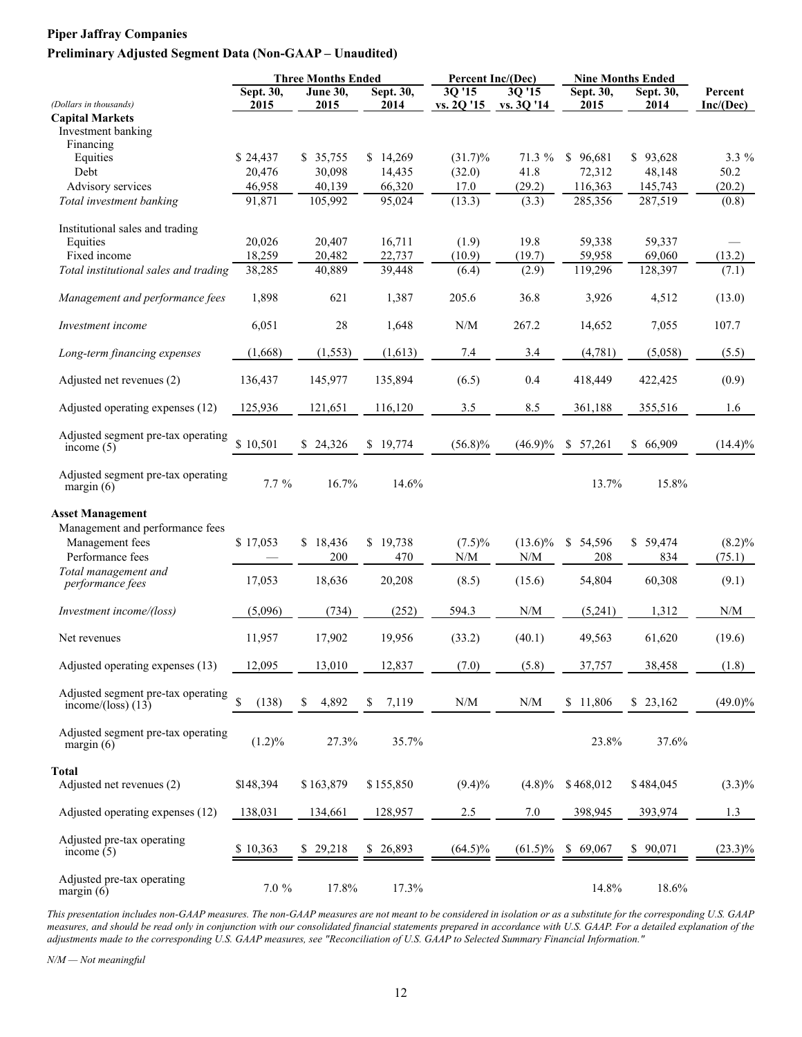#### **Preliminary Adjusted Segment Data (Non-GAAP – Unaudited)**

|                                                            |                   | <b>Three Months Ended</b> |                        | Percent Inc/(Dec)                                           |                                                             |                   | <b>Nine Months Ended</b> |                                                             |
|------------------------------------------------------------|-------------------|---------------------------|------------------------|-------------------------------------------------------------|-------------------------------------------------------------|-------------------|--------------------------|-------------------------------------------------------------|
| (Dollars in thousands)                                     | Sept. 30,<br>2015 | <b>June 30,</b><br>2015   | Sept. 30,<br>2014      | 3Q '15                                                      | 3Q '15<br>vs. 20 '15 vs. 30 '14                             | Sept. 30,<br>2015 | Sept. 30,<br>2014        | Percent<br>Inc/(Dec)                                        |
| <b>Capital Markets</b>                                     |                   |                           |                        |                                                             |                                                             |                   |                          |                                                             |
| Investment banking                                         |                   |                           |                        |                                                             |                                                             |                   |                          |                                                             |
| Financing                                                  |                   |                           |                        |                                                             |                                                             |                   |                          |                                                             |
| Equities                                                   | \$24,437          | \$35,755                  | \$14,269               | $(31.7)\%$                                                  | 71.3 %                                                      | \$96,681          | \$93,628                 | 3.3 %                                                       |
| Debt                                                       | 20,476            | 30,098                    | 14,435                 | (32.0)                                                      | 41.8                                                        | 72,312            | 48,148                   | 50.2                                                        |
| Advisory services                                          | 46,958            | 40,139                    | 66,320                 | 17.0                                                        | (29.2)                                                      | 116,363           | 145,743                  | (20.2)                                                      |
| Total investment banking                                   | 91,871            | 105,992                   | 95,024                 | (13.3)                                                      | (3.3)                                                       | 285,356           | 287,519                  | (0.8)                                                       |
| Institutional sales and trading                            |                   |                           |                        |                                                             |                                                             |                   |                          |                                                             |
| Equities                                                   | 20,026            | 20,407                    | 16,711                 | (1.9)                                                       | 19.8                                                        | 59,338            | 59,337                   |                                                             |
| Fixed income                                               | 18,259            | 20,482                    | 22,737                 | (10.9)                                                      | (19.7)                                                      | 59,958            | 69,060                   | (13.2)                                                      |
| Total institutional sales and trading                      | 38,285            | 40,889                    | 39,448                 | (6.4)                                                       | (2.9)                                                       | 119,296           | 128,397                  | (7.1)                                                       |
| Management and performance fees                            | 1,898             | 621                       | 1,387                  | 205.6                                                       | 36.8                                                        | 3,926             | 4,512                    | (13.0)                                                      |
| Investment income                                          | 6,051             | $28\,$                    | 1,648                  | N/M                                                         | 267.2                                                       | 14,652            | 7,055                    | 107.7                                                       |
| Long-term financing expenses                               | (1,668)           | (1, 553)                  | (1,613)                | 7.4                                                         | 3.4                                                         | (4,781)           | (5,058)                  | (5.5)                                                       |
| Adjusted net revenues (2)                                  | 136,437           | 145,977                   | 135,894                | (6.5)                                                       | 0.4                                                         | 418,449           | 422,425                  | (0.9)                                                       |
| Adjusted operating expenses (12)                           | 125,936           | 121,651                   | 116,120                | 3.5                                                         | 8.5                                                         | 361,188           | 355,516                  | 1.6                                                         |
| Adjusted segment pre-tax operating<br>income $(5)$         | \$10,501          | \$24,326                  | \$19,774               | $(56.8)\%$                                                  | $(46.9)\%$                                                  | \$57,261          | \$66,909                 | $(14.4)\%$                                                  |
|                                                            |                   |                           |                        |                                                             |                                                             |                   |                          |                                                             |
| Adjusted segment pre-tax operating<br>margin $(6)$         | $7.7\%$           | 16.7%                     | 14.6%                  |                                                             |                                                             | 13.7%             | 15.8%                    |                                                             |
| <b>Asset Management</b>                                    |                   |                           |                        |                                                             |                                                             |                   |                          |                                                             |
| Management and performance fees                            |                   |                           |                        |                                                             |                                                             |                   |                          |                                                             |
| Management fees                                            | \$17,053          | \$18,436                  | \$19,738               | $(7.5)\%$                                                   | $(13.6)\%$                                                  | \$54,596          | \$59,474                 | $(8.2)\%$                                                   |
| Performance fees                                           |                   | 200                       | 470                    | $\ensuremath{\text{N}}\xspace/\ensuremath{\text{M}}\xspace$ | $\ensuremath{\text{N}}/\ensuremath{\text{M}}$               | 208               | 834                      | (75.1)                                                      |
| Total management and                                       |                   |                           |                        |                                                             |                                                             |                   |                          |                                                             |
| performance fees                                           | 17,053            | 18,636                    | 20,208                 | (8.5)                                                       | (15.6)                                                      | 54,804            | 60,308                   | (9.1)                                                       |
| Investment income/(loss)                                   | (5,096)           | (734)                     | (252)                  | 594.3                                                       | $\ensuremath{\text{N}}\xspace/\ensuremath{\text{M}}\xspace$ | (5,241)           | 1,312                    | $\ensuremath{\text{N}}\xspace/\ensuremath{\text{M}}\xspace$ |
| Net revenues                                               | 11,957            | 17,902                    | 19,956                 | (33.2)                                                      | (40.1)                                                      | 49,563            | 61,620                   | (19.6)                                                      |
| Adjusted operating expenses (13)                           | 12,095            | 13,010                    | 12,837                 | (7.0)                                                       | (5.8)                                                       | 37,757            | 38,458                   | (1.8)                                                       |
|                                                            |                   |                           |                        |                                                             |                                                             |                   |                          |                                                             |
| Adjusted segment pre-tax operating<br>income/(loss) $(13)$ | \$<br>(138)       | 4,892<br>\$               | \$<br>7,119            | $\ensuremath{\text{N}}\xspace/\ensuremath{\text{M}}\xspace$ | N/M                                                         | \$11,806          | \$23,162                 | $(49.0)\%$                                                  |
| Adjusted segment pre-tax operating<br>margin $(6)$         | $(1.2)\%$         | 27.3%                     | 35.7%                  |                                                             |                                                             | 23.8%             | 37.6%                    |                                                             |
| <b>Total</b>                                               |                   |                           |                        |                                                             |                                                             |                   |                          |                                                             |
| Adjusted net revenues (2)                                  | \$148,394         | \$163,879                 | \$155,850              | $(9.4)\%$                                                   | $(4.8)\%$                                                   | \$468,012         | \$484,045                | $(3.3)\%$                                                   |
| Adjusted operating expenses (12)                           | 138,031           | 134,661                   | 128,957                | 2.5                                                         | 7.0                                                         | 398,945           | 393,974                  | 1.3                                                         |
| Adjusted pre-tax operating<br>income $(5)$                 | \$10,363          | \$29,218                  | 26,893<br>$\mathbb{S}$ | $(64.5)\%$                                                  | $(61.5)\%$                                                  | \$69,067          | \$90,071                 | $(23.3)\%$                                                  |
| Adjusted pre-tax operating<br>margin $(6)$                 | $7.0 \%$          | 17.8%                     | 17.3%                  |                                                             |                                                             | 14.8%             | 18.6%                    |                                                             |

*This presentation includes non-GAAP measures. The non-GAAP measures are not meant to be considered in isolation or as a substitute for the corresponding U.S. GAAP measures, and should be read only in conjunction with our consolidated financial statements prepared in accordance with U.S. GAAP. For a detailed explanation of the adjustments made to the corresponding U.S. GAAP measures, see "Reconciliation of U.S. GAAP to Selected Summary Financial Information."*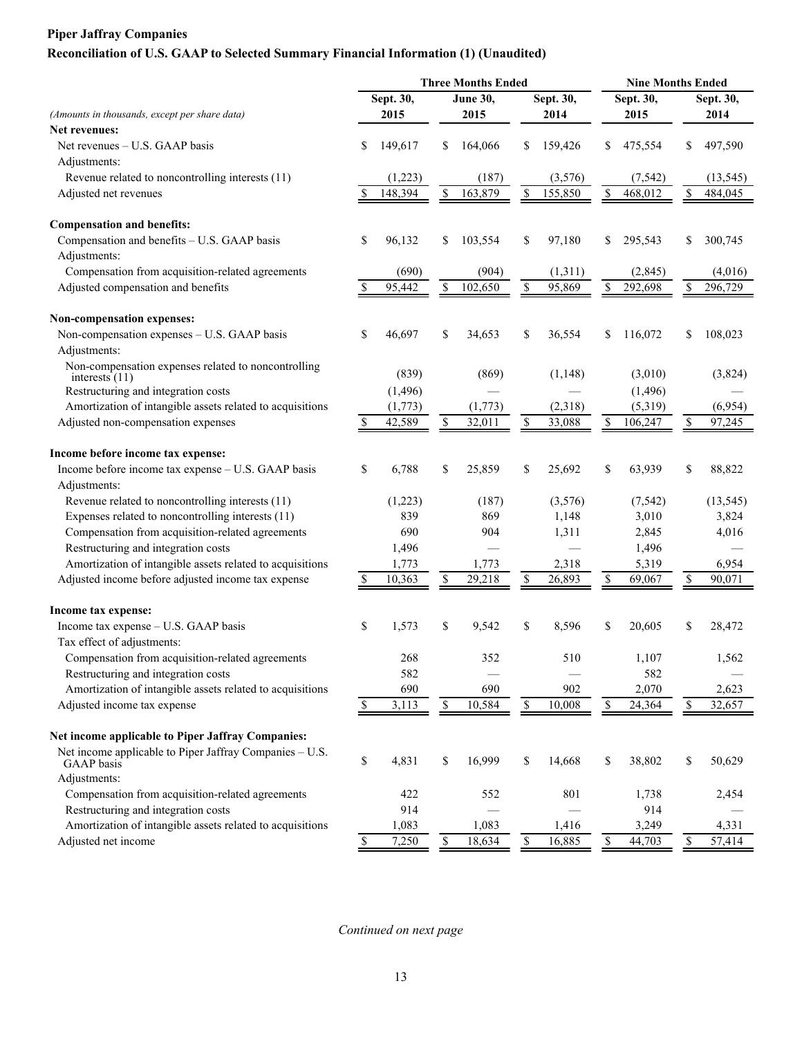## **Reconciliation of U.S. GAAP to Selected Summary Financial Information (1) (Unaudited)**

| Sept. 30,<br>Sept. 30,<br>June 30,<br>Sept. 30,<br>Sept. 30,<br>2015<br>(Amounts in thousands, except per share data)<br>2015<br>2014<br>2015<br>2014<br><b>Net revenues:</b><br>Net revenues – U.S. GAAP basis<br>\$<br>149,617<br>164,066<br>159,426<br>\$<br>475,554<br>497,590<br>\$<br>S<br>Adjustments:<br>Revenue related to noncontrolling interests (11)<br>(1,223)<br>(187)<br>(3,576)<br>(7, 542)<br>(13, 545)<br>148,394<br>\$<br>163,879<br>155,850<br>468,012<br>\$<br>\$<br>\$<br>484,045<br>Adjusted net revenues<br>S<br><b>Compensation and benefits:</b><br>Compensation and benefits - U.S. GAAP basis<br>\$<br>\$<br>96,132<br>\$<br>103,554<br>97,180<br>\$<br>295,543<br>300,745<br>S<br>Adjustments:<br>Compensation from acquisition-related agreements<br>(690)<br>(1,311)<br>(2, 845)<br>(4,016)<br>(904)<br>Adjusted compensation and benefits<br>\$<br>102,650<br>\$<br>292,698<br>296,729<br>S<br>95,442<br>95,869<br>\$<br>S<br>Non-compensation expenses:<br>Non-compensation expenses - U.S. GAAP basis<br>\$<br>46,697<br>\$<br>\$<br>108,023<br>34,653<br>36,554<br>\$<br>116,072<br>Adjustments:<br>Non-compensation expenses related to noncontrolling<br>(839)<br>(869)<br>(1, 148)<br>(3,010)<br>(3,824)<br>interests $(11)$<br>Restructuring and integration costs<br>(1,496)<br>(1, 496)<br>Amortization of intangible assets related to acquisitions<br>(1,773)<br>(1,773)<br>(2,318)<br>(5,319)<br>(6,954)<br>$\mathbb{S}$<br>42,589<br>32,011<br>33,088<br>Adjusted non-compensation expenses<br>\$<br>\$<br>106,247<br>97,245<br>Income before income tax expense:<br>Income before income tax expense - U.S. GAAP basis<br>\$<br>6,788<br>\$<br>25,859<br>63,939<br>88,822<br>\$<br>25,692<br>\$<br>\$<br>Adjustments:<br>Revenue related to noncontrolling interests (11)<br>(1,223)<br>(3,576)<br>(7, 542)<br>(13, 545)<br>(187)<br>Expenses related to noncontrolling interests (11)<br>839<br>3,010<br>869<br>1,148<br>3,824<br>Compensation from acquisition-related agreements<br>690<br>904<br>1,311<br>2,845<br>4,016<br>Restructuring and integration costs<br>1,496<br>1,496<br>Amortization of intangible assets related to acquisitions<br>5,319<br>1,773<br>1,773<br>2,318<br>6,954<br>10,363<br>29,218<br>90,071<br>Adjusted income before adjusted income tax expense<br>\$<br>S<br>26,893<br>69,067<br>S<br>Income tax expense:<br>\$<br>1,573<br>\$<br>9,542<br>\$<br>Income tax expense - U.S. GAAP basis<br>8,596<br>\$<br>20,605<br>28,472<br>S<br>Tax effect of adjustments:<br>Compensation from acquisition-related agreements<br>268<br>352<br>510<br>1,107<br>1,562<br>582<br>582<br>Restructuring and integration costs<br>902<br>Amortization of intangible assets related to acquisitions<br>690<br>690<br>2,070<br>2,623<br>${\mathbb S}$<br>$\mathbb S$<br>Adjusted income tax expense<br>10,584<br>10,008<br>\$<br>24,364<br>32,657<br>3,113<br>\$<br>\$<br>Net income applicable to Piper Jaffray Companies:<br>Net income applicable to Piper Jaffray Companies - U.S.<br>\$<br>4,831<br>\$<br>16,999<br>\$<br>14,668<br>\$<br>38,802<br>\$<br>50,629<br><b>GAAP</b> basis<br>Adjustments:<br>Compensation from acquisition-related agreements<br>422<br>801<br>1,738<br>552<br>2,454<br>Restructuring and integration costs<br>914<br>914<br>Amortization of intangible assets related to acquisitions<br>1,083<br>1,083<br>1,416<br>3,249<br>4,331<br>Adjusted net income<br>7,250<br>$\mathbb S$<br>$\mathbb{S}$<br>16,885<br>\$<br>18,634<br>\$<br>44,703<br>57,414<br>\$ |  |  | <b>Three Months Ended</b> |  | <b>Nine Months Ended</b> |  |  |  |
|--------------------------------------------------------------------------------------------------------------------------------------------------------------------------------------------------------------------------------------------------------------------------------------------------------------------------------------------------------------------------------------------------------------------------------------------------------------------------------------------------------------------------------------------------------------------------------------------------------------------------------------------------------------------------------------------------------------------------------------------------------------------------------------------------------------------------------------------------------------------------------------------------------------------------------------------------------------------------------------------------------------------------------------------------------------------------------------------------------------------------------------------------------------------------------------------------------------------------------------------------------------------------------------------------------------------------------------------------------------------------------------------------------------------------------------------------------------------------------------------------------------------------------------------------------------------------------------------------------------------------------------------------------------------------------------------------------------------------------------------------------------------------------------------------------------------------------------------------------------------------------------------------------------------------------------------------------------------------------------------------------------------------------------------------------------------------------------------------------------------------------------------------------------------------------------------------------------------------------------------------------------------------------------------------------------------------------------------------------------------------------------------------------------------------------------------------------------------------------------------------------------------------------------------------------------------------------------------------------------------------------------------------------------------------------------------------------------------------------------------------------------------------------------------------------------------------------------------------------------------------------------------------------------------------------------------------------------------------------------------------------------------------------------------------------------------------------------------------------------------------------------------------------------------------------------------------------------------------------------------------------------------------------------------------------------------------------------------------------------------------------------------------------------------------------------------------------------------------------------------------------------------------------------------------------------|--|--|---------------------------|--|--------------------------|--|--|--|
|                                                                                                                                                                                                                                                                                                                                                                                                                                                                                                                                                                                                                                                                                                                                                                                                                                                                                                                                                                                                                                                                                                                                                                                                                                                                                                                                                                                                                                                                                                                                                                                                                                                                                                                                                                                                                                                                                                                                                                                                                                                                                                                                                                                                                                                                                                                                                                                                                                                                                                                                                                                                                                                                                                                                                                                                                                                                                                                                                                                                                                                                                                                                                                                                                                                                                                                                                                                                                                                                                                                                                              |  |  |                           |  |                          |  |  |  |
|                                                                                                                                                                                                                                                                                                                                                                                                                                                                                                                                                                                                                                                                                                                                                                                                                                                                                                                                                                                                                                                                                                                                                                                                                                                                                                                                                                                                                                                                                                                                                                                                                                                                                                                                                                                                                                                                                                                                                                                                                                                                                                                                                                                                                                                                                                                                                                                                                                                                                                                                                                                                                                                                                                                                                                                                                                                                                                                                                                                                                                                                                                                                                                                                                                                                                                                                                                                                                                                                                                                                                              |  |  |                           |  |                          |  |  |  |
|                                                                                                                                                                                                                                                                                                                                                                                                                                                                                                                                                                                                                                                                                                                                                                                                                                                                                                                                                                                                                                                                                                                                                                                                                                                                                                                                                                                                                                                                                                                                                                                                                                                                                                                                                                                                                                                                                                                                                                                                                                                                                                                                                                                                                                                                                                                                                                                                                                                                                                                                                                                                                                                                                                                                                                                                                                                                                                                                                                                                                                                                                                                                                                                                                                                                                                                                                                                                                                                                                                                                                              |  |  |                           |  |                          |  |  |  |
|                                                                                                                                                                                                                                                                                                                                                                                                                                                                                                                                                                                                                                                                                                                                                                                                                                                                                                                                                                                                                                                                                                                                                                                                                                                                                                                                                                                                                                                                                                                                                                                                                                                                                                                                                                                                                                                                                                                                                                                                                                                                                                                                                                                                                                                                                                                                                                                                                                                                                                                                                                                                                                                                                                                                                                                                                                                                                                                                                                                                                                                                                                                                                                                                                                                                                                                                                                                                                                                                                                                                                              |  |  |                           |  |                          |  |  |  |
|                                                                                                                                                                                                                                                                                                                                                                                                                                                                                                                                                                                                                                                                                                                                                                                                                                                                                                                                                                                                                                                                                                                                                                                                                                                                                                                                                                                                                                                                                                                                                                                                                                                                                                                                                                                                                                                                                                                                                                                                                                                                                                                                                                                                                                                                                                                                                                                                                                                                                                                                                                                                                                                                                                                                                                                                                                                                                                                                                                                                                                                                                                                                                                                                                                                                                                                                                                                                                                                                                                                                                              |  |  |                           |  |                          |  |  |  |
|                                                                                                                                                                                                                                                                                                                                                                                                                                                                                                                                                                                                                                                                                                                                                                                                                                                                                                                                                                                                                                                                                                                                                                                                                                                                                                                                                                                                                                                                                                                                                                                                                                                                                                                                                                                                                                                                                                                                                                                                                                                                                                                                                                                                                                                                                                                                                                                                                                                                                                                                                                                                                                                                                                                                                                                                                                                                                                                                                                                                                                                                                                                                                                                                                                                                                                                                                                                                                                                                                                                                                              |  |  |                           |  |                          |  |  |  |
|                                                                                                                                                                                                                                                                                                                                                                                                                                                                                                                                                                                                                                                                                                                                                                                                                                                                                                                                                                                                                                                                                                                                                                                                                                                                                                                                                                                                                                                                                                                                                                                                                                                                                                                                                                                                                                                                                                                                                                                                                                                                                                                                                                                                                                                                                                                                                                                                                                                                                                                                                                                                                                                                                                                                                                                                                                                                                                                                                                                                                                                                                                                                                                                                                                                                                                                                                                                                                                                                                                                                                              |  |  |                           |  |                          |  |  |  |
|                                                                                                                                                                                                                                                                                                                                                                                                                                                                                                                                                                                                                                                                                                                                                                                                                                                                                                                                                                                                                                                                                                                                                                                                                                                                                                                                                                                                                                                                                                                                                                                                                                                                                                                                                                                                                                                                                                                                                                                                                                                                                                                                                                                                                                                                                                                                                                                                                                                                                                                                                                                                                                                                                                                                                                                                                                                                                                                                                                                                                                                                                                                                                                                                                                                                                                                                                                                                                                                                                                                                                              |  |  |                           |  |                          |  |  |  |
|                                                                                                                                                                                                                                                                                                                                                                                                                                                                                                                                                                                                                                                                                                                                                                                                                                                                                                                                                                                                                                                                                                                                                                                                                                                                                                                                                                                                                                                                                                                                                                                                                                                                                                                                                                                                                                                                                                                                                                                                                                                                                                                                                                                                                                                                                                                                                                                                                                                                                                                                                                                                                                                                                                                                                                                                                                                                                                                                                                                                                                                                                                                                                                                                                                                                                                                                                                                                                                                                                                                                                              |  |  |                           |  |                          |  |  |  |
|                                                                                                                                                                                                                                                                                                                                                                                                                                                                                                                                                                                                                                                                                                                                                                                                                                                                                                                                                                                                                                                                                                                                                                                                                                                                                                                                                                                                                                                                                                                                                                                                                                                                                                                                                                                                                                                                                                                                                                                                                                                                                                                                                                                                                                                                                                                                                                                                                                                                                                                                                                                                                                                                                                                                                                                                                                                                                                                                                                                                                                                                                                                                                                                                                                                                                                                                                                                                                                                                                                                                                              |  |  |                           |  |                          |  |  |  |
|                                                                                                                                                                                                                                                                                                                                                                                                                                                                                                                                                                                                                                                                                                                                                                                                                                                                                                                                                                                                                                                                                                                                                                                                                                                                                                                                                                                                                                                                                                                                                                                                                                                                                                                                                                                                                                                                                                                                                                                                                                                                                                                                                                                                                                                                                                                                                                                                                                                                                                                                                                                                                                                                                                                                                                                                                                                                                                                                                                                                                                                                                                                                                                                                                                                                                                                                                                                                                                                                                                                                                              |  |  |                           |  |                          |  |  |  |
|                                                                                                                                                                                                                                                                                                                                                                                                                                                                                                                                                                                                                                                                                                                                                                                                                                                                                                                                                                                                                                                                                                                                                                                                                                                                                                                                                                                                                                                                                                                                                                                                                                                                                                                                                                                                                                                                                                                                                                                                                                                                                                                                                                                                                                                                                                                                                                                                                                                                                                                                                                                                                                                                                                                                                                                                                                                                                                                                                                                                                                                                                                                                                                                                                                                                                                                                                                                                                                                                                                                                                              |  |  |                           |  |                          |  |  |  |
|                                                                                                                                                                                                                                                                                                                                                                                                                                                                                                                                                                                                                                                                                                                                                                                                                                                                                                                                                                                                                                                                                                                                                                                                                                                                                                                                                                                                                                                                                                                                                                                                                                                                                                                                                                                                                                                                                                                                                                                                                                                                                                                                                                                                                                                                                                                                                                                                                                                                                                                                                                                                                                                                                                                                                                                                                                                                                                                                                                                                                                                                                                                                                                                                                                                                                                                                                                                                                                                                                                                                                              |  |  |                           |  |                          |  |  |  |
|                                                                                                                                                                                                                                                                                                                                                                                                                                                                                                                                                                                                                                                                                                                                                                                                                                                                                                                                                                                                                                                                                                                                                                                                                                                                                                                                                                                                                                                                                                                                                                                                                                                                                                                                                                                                                                                                                                                                                                                                                                                                                                                                                                                                                                                                                                                                                                                                                                                                                                                                                                                                                                                                                                                                                                                                                                                                                                                                                                                                                                                                                                                                                                                                                                                                                                                                                                                                                                                                                                                                                              |  |  |                           |  |                          |  |  |  |
|                                                                                                                                                                                                                                                                                                                                                                                                                                                                                                                                                                                                                                                                                                                                                                                                                                                                                                                                                                                                                                                                                                                                                                                                                                                                                                                                                                                                                                                                                                                                                                                                                                                                                                                                                                                                                                                                                                                                                                                                                                                                                                                                                                                                                                                                                                                                                                                                                                                                                                                                                                                                                                                                                                                                                                                                                                                                                                                                                                                                                                                                                                                                                                                                                                                                                                                                                                                                                                                                                                                                                              |  |  |                           |  |                          |  |  |  |
|                                                                                                                                                                                                                                                                                                                                                                                                                                                                                                                                                                                                                                                                                                                                                                                                                                                                                                                                                                                                                                                                                                                                                                                                                                                                                                                                                                                                                                                                                                                                                                                                                                                                                                                                                                                                                                                                                                                                                                                                                                                                                                                                                                                                                                                                                                                                                                                                                                                                                                                                                                                                                                                                                                                                                                                                                                                                                                                                                                                                                                                                                                                                                                                                                                                                                                                                                                                                                                                                                                                                                              |  |  |                           |  |                          |  |  |  |
|                                                                                                                                                                                                                                                                                                                                                                                                                                                                                                                                                                                                                                                                                                                                                                                                                                                                                                                                                                                                                                                                                                                                                                                                                                                                                                                                                                                                                                                                                                                                                                                                                                                                                                                                                                                                                                                                                                                                                                                                                                                                                                                                                                                                                                                                                                                                                                                                                                                                                                                                                                                                                                                                                                                                                                                                                                                                                                                                                                                                                                                                                                                                                                                                                                                                                                                                                                                                                                                                                                                                                              |  |  |                           |  |                          |  |  |  |
|                                                                                                                                                                                                                                                                                                                                                                                                                                                                                                                                                                                                                                                                                                                                                                                                                                                                                                                                                                                                                                                                                                                                                                                                                                                                                                                                                                                                                                                                                                                                                                                                                                                                                                                                                                                                                                                                                                                                                                                                                                                                                                                                                                                                                                                                                                                                                                                                                                                                                                                                                                                                                                                                                                                                                                                                                                                                                                                                                                                                                                                                                                                                                                                                                                                                                                                                                                                                                                                                                                                                                              |  |  |                           |  |                          |  |  |  |
|                                                                                                                                                                                                                                                                                                                                                                                                                                                                                                                                                                                                                                                                                                                                                                                                                                                                                                                                                                                                                                                                                                                                                                                                                                                                                                                                                                                                                                                                                                                                                                                                                                                                                                                                                                                                                                                                                                                                                                                                                                                                                                                                                                                                                                                                                                                                                                                                                                                                                                                                                                                                                                                                                                                                                                                                                                                                                                                                                                                                                                                                                                                                                                                                                                                                                                                                                                                                                                                                                                                                                              |  |  |                           |  |                          |  |  |  |
|                                                                                                                                                                                                                                                                                                                                                                                                                                                                                                                                                                                                                                                                                                                                                                                                                                                                                                                                                                                                                                                                                                                                                                                                                                                                                                                                                                                                                                                                                                                                                                                                                                                                                                                                                                                                                                                                                                                                                                                                                                                                                                                                                                                                                                                                                                                                                                                                                                                                                                                                                                                                                                                                                                                                                                                                                                                                                                                                                                                                                                                                                                                                                                                                                                                                                                                                                                                                                                                                                                                                                              |  |  |                           |  |                          |  |  |  |
|                                                                                                                                                                                                                                                                                                                                                                                                                                                                                                                                                                                                                                                                                                                                                                                                                                                                                                                                                                                                                                                                                                                                                                                                                                                                                                                                                                                                                                                                                                                                                                                                                                                                                                                                                                                                                                                                                                                                                                                                                                                                                                                                                                                                                                                                                                                                                                                                                                                                                                                                                                                                                                                                                                                                                                                                                                                                                                                                                                                                                                                                                                                                                                                                                                                                                                                                                                                                                                                                                                                                                              |  |  |                           |  |                          |  |  |  |
|                                                                                                                                                                                                                                                                                                                                                                                                                                                                                                                                                                                                                                                                                                                                                                                                                                                                                                                                                                                                                                                                                                                                                                                                                                                                                                                                                                                                                                                                                                                                                                                                                                                                                                                                                                                                                                                                                                                                                                                                                                                                                                                                                                                                                                                                                                                                                                                                                                                                                                                                                                                                                                                                                                                                                                                                                                                                                                                                                                                                                                                                                                                                                                                                                                                                                                                                                                                                                                                                                                                                                              |  |  |                           |  |                          |  |  |  |
|                                                                                                                                                                                                                                                                                                                                                                                                                                                                                                                                                                                                                                                                                                                                                                                                                                                                                                                                                                                                                                                                                                                                                                                                                                                                                                                                                                                                                                                                                                                                                                                                                                                                                                                                                                                                                                                                                                                                                                                                                                                                                                                                                                                                                                                                                                                                                                                                                                                                                                                                                                                                                                                                                                                                                                                                                                                                                                                                                                                                                                                                                                                                                                                                                                                                                                                                                                                                                                                                                                                                                              |  |  |                           |  |                          |  |  |  |
|                                                                                                                                                                                                                                                                                                                                                                                                                                                                                                                                                                                                                                                                                                                                                                                                                                                                                                                                                                                                                                                                                                                                                                                                                                                                                                                                                                                                                                                                                                                                                                                                                                                                                                                                                                                                                                                                                                                                                                                                                                                                                                                                                                                                                                                                                                                                                                                                                                                                                                                                                                                                                                                                                                                                                                                                                                                                                                                                                                                                                                                                                                                                                                                                                                                                                                                                                                                                                                                                                                                                                              |  |  |                           |  |                          |  |  |  |
|                                                                                                                                                                                                                                                                                                                                                                                                                                                                                                                                                                                                                                                                                                                                                                                                                                                                                                                                                                                                                                                                                                                                                                                                                                                                                                                                                                                                                                                                                                                                                                                                                                                                                                                                                                                                                                                                                                                                                                                                                                                                                                                                                                                                                                                                                                                                                                                                                                                                                                                                                                                                                                                                                                                                                                                                                                                                                                                                                                                                                                                                                                                                                                                                                                                                                                                                                                                                                                                                                                                                                              |  |  |                           |  |                          |  |  |  |
|                                                                                                                                                                                                                                                                                                                                                                                                                                                                                                                                                                                                                                                                                                                                                                                                                                                                                                                                                                                                                                                                                                                                                                                                                                                                                                                                                                                                                                                                                                                                                                                                                                                                                                                                                                                                                                                                                                                                                                                                                                                                                                                                                                                                                                                                                                                                                                                                                                                                                                                                                                                                                                                                                                                                                                                                                                                                                                                                                                                                                                                                                                                                                                                                                                                                                                                                                                                                                                                                                                                                                              |  |  |                           |  |                          |  |  |  |
|                                                                                                                                                                                                                                                                                                                                                                                                                                                                                                                                                                                                                                                                                                                                                                                                                                                                                                                                                                                                                                                                                                                                                                                                                                                                                                                                                                                                                                                                                                                                                                                                                                                                                                                                                                                                                                                                                                                                                                                                                                                                                                                                                                                                                                                                                                                                                                                                                                                                                                                                                                                                                                                                                                                                                                                                                                                                                                                                                                                                                                                                                                                                                                                                                                                                                                                                                                                                                                                                                                                                                              |  |  |                           |  |                          |  |  |  |
|                                                                                                                                                                                                                                                                                                                                                                                                                                                                                                                                                                                                                                                                                                                                                                                                                                                                                                                                                                                                                                                                                                                                                                                                                                                                                                                                                                                                                                                                                                                                                                                                                                                                                                                                                                                                                                                                                                                                                                                                                                                                                                                                                                                                                                                                                                                                                                                                                                                                                                                                                                                                                                                                                                                                                                                                                                                                                                                                                                                                                                                                                                                                                                                                                                                                                                                                                                                                                                                                                                                                                              |  |  |                           |  |                          |  |  |  |
|                                                                                                                                                                                                                                                                                                                                                                                                                                                                                                                                                                                                                                                                                                                                                                                                                                                                                                                                                                                                                                                                                                                                                                                                                                                                                                                                                                                                                                                                                                                                                                                                                                                                                                                                                                                                                                                                                                                                                                                                                                                                                                                                                                                                                                                                                                                                                                                                                                                                                                                                                                                                                                                                                                                                                                                                                                                                                                                                                                                                                                                                                                                                                                                                                                                                                                                                                                                                                                                                                                                                                              |  |  |                           |  |                          |  |  |  |
|                                                                                                                                                                                                                                                                                                                                                                                                                                                                                                                                                                                                                                                                                                                                                                                                                                                                                                                                                                                                                                                                                                                                                                                                                                                                                                                                                                                                                                                                                                                                                                                                                                                                                                                                                                                                                                                                                                                                                                                                                                                                                                                                                                                                                                                                                                                                                                                                                                                                                                                                                                                                                                                                                                                                                                                                                                                                                                                                                                                                                                                                                                                                                                                                                                                                                                                                                                                                                                                                                                                                                              |  |  |                           |  |                          |  |  |  |
|                                                                                                                                                                                                                                                                                                                                                                                                                                                                                                                                                                                                                                                                                                                                                                                                                                                                                                                                                                                                                                                                                                                                                                                                                                                                                                                                                                                                                                                                                                                                                                                                                                                                                                                                                                                                                                                                                                                                                                                                                                                                                                                                                                                                                                                                                                                                                                                                                                                                                                                                                                                                                                                                                                                                                                                                                                                                                                                                                                                                                                                                                                                                                                                                                                                                                                                                                                                                                                                                                                                                                              |  |  |                           |  |                          |  |  |  |
|                                                                                                                                                                                                                                                                                                                                                                                                                                                                                                                                                                                                                                                                                                                                                                                                                                                                                                                                                                                                                                                                                                                                                                                                                                                                                                                                                                                                                                                                                                                                                                                                                                                                                                                                                                                                                                                                                                                                                                                                                                                                                                                                                                                                                                                                                                                                                                                                                                                                                                                                                                                                                                                                                                                                                                                                                                                                                                                                                                                                                                                                                                                                                                                                                                                                                                                                                                                                                                                                                                                                                              |  |  |                           |  |                          |  |  |  |
|                                                                                                                                                                                                                                                                                                                                                                                                                                                                                                                                                                                                                                                                                                                                                                                                                                                                                                                                                                                                                                                                                                                                                                                                                                                                                                                                                                                                                                                                                                                                                                                                                                                                                                                                                                                                                                                                                                                                                                                                                                                                                                                                                                                                                                                                                                                                                                                                                                                                                                                                                                                                                                                                                                                                                                                                                                                                                                                                                                                                                                                                                                                                                                                                                                                                                                                                                                                                                                                                                                                                                              |  |  |                           |  |                          |  |  |  |
|                                                                                                                                                                                                                                                                                                                                                                                                                                                                                                                                                                                                                                                                                                                                                                                                                                                                                                                                                                                                                                                                                                                                                                                                                                                                                                                                                                                                                                                                                                                                                                                                                                                                                                                                                                                                                                                                                                                                                                                                                                                                                                                                                                                                                                                                                                                                                                                                                                                                                                                                                                                                                                                                                                                                                                                                                                                                                                                                                                                                                                                                                                                                                                                                                                                                                                                                                                                                                                                                                                                                                              |  |  |                           |  |                          |  |  |  |
|                                                                                                                                                                                                                                                                                                                                                                                                                                                                                                                                                                                                                                                                                                                                                                                                                                                                                                                                                                                                                                                                                                                                                                                                                                                                                                                                                                                                                                                                                                                                                                                                                                                                                                                                                                                                                                                                                                                                                                                                                                                                                                                                                                                                                                                                                                                                                                                                                                                                                                                                                                                                                                                                                                                                                                                                                                                                                                                                                                                                                                                                                                                                                                                                                                                                                                                                                                                                                                                                                                                                                              |  |  |                           |  |                          |  |  |  |
|                                                                                                                                                                                                                                                                                                                                                                                                                                                                                                                                                                                                                                                                                                                                                                                                                                                                                                                                                                                                                                                                                                                                                                                                                                                                                                                                                                                                                                                                                                                                                                                                                                                                                                                                                                                                                                                                                                                                                                                                                                                                                                                                                                                                                                                                                                                                                                                                                                                                                                                                                                                                                                                                                                                                                                                                                                                                                                                                                                                                                                                                                                                                                                                                                                                                                                                                                                                                                                                                                                                                                              |  |  |                           |  |                          |  |  |  |
|                                                                                                                                                                                                                                                                                                                                                                                                                                                                                                                                                                                                                                                                                                                                                                                                                                                                                                                                                                                                                                                                                                                                                                                                                                                                                                                                                                                                                                                                                                                                                                                                                                                                                                                                                                                                                                                                                                                                                                                                                                                                                                                                                                                                                                                                                                                                                                                                                                                                                                                                                                                                                                                                                                                                                                                                                                                                                                                                                                                                                                                                                                                                                                                                                                                                                                                                                                                                                                                                                                                                                              |  |  |                           |  |                          |  |  |  |
|                                                                                                                                                                                                                                                                                                                                                                                                                                                                                                                                                                                                                                                                                                                                                                                                                                                                                                                                                                                                                                                                                                                                                                                                                                                                                                                                                                                                                                                                                                                                                                                                                                                                                                                                                                                                                                                                                                                                                                                                                                                                                                                                                                                                                                                                                                                                                                                                                                                                                                                                                                                                                                                                                                                                                                                                                                                                                                                                                                                                                                                                                                                                                                                                                                                                                                                                                                                                                                                                                                                                                              |  |  |                           |  |                          |  |  |  |
|                                                                                                                                                                                                                                                                                                                                                                                                                                                                                                                                                                                                                                                                                                                                                                                                                                                                                                                                                                                                                                                                                                                                                                                                                                                                                                                                                                                                                                                                                                                                                                                                                                                                                                                                                                                                                                                                                                                                                                                                                                                                                                                                                                                                                                                                                                                                                                                                                                                                                                                                                                                                                                                                                                                                                                                                                                                                                                                                                                                                                                                                                                                                                                                                                                                                                                                                                                                                                                                                                                                                                              |  |  |                           |  |                          |  |  |  |
|                                                                                                                                                                                                                                                                                                                                                                                                                                                                                                                                                                                                                                                                                                                                                                                                                                                                                                                                                                                                                                                                                                                                                                                                                                                                                                                                                                                                                                                                                                                                                                                                                                                                                                                                                                                                                                                                                                                                                                                                                                                                                                                                                                                                                                                                                                                                                                                                                                                                                                                                                                                                                                                                                                                                                                                                                                                                                                                                                                                                                                                                                                                                                                                                                                                                                                                                                                                                                                                                                                                                                              |  |  |                           |  |                          |  |  |  |
|                                                                                                                                                                                                                                                                                                                                                                                                                                                                                                                                                                                                                                                                                                                                                                                                                                                                                                                                                                                                                                                                                                                                                                                                                                                                                                                                                                                                                                                                                                                                                                                                                                                                                                                                                                                                                                                                                                                                                                                                                                                                                                                                                                                                                                                                                                                                                                                                                                                                                                                                                                                                                                                                                                                                                                                                                                                                                                                                                                                                                                                                                                                                                                                                                                                                                                                                                                                                                                                                                                                                                              |  |  |                           |  |                          |  |  |  |
|                                                                                                                                                                                                                                                                                                                                                                                                                                                                                                                                                                                                                                                                                                                                                                                                                                                                                                                                                                                                                                                                                                                                                                                                                                                                                                                                                                                                                                                                                                                                                                                                                                                                                                                                                                                                                                                                                                                                                                                                                                                                                                                                                                                                                                                                                                                                                                                                                                                                                                                                                                                                                                                                                                                                                                                                                                                                                                                                                                                                                                                                                                                                                                                                                                                                                                                                                                                                                                                                                                                                                              |  |  |                           |  |                          |  |  |  |
|                                                                                                                                                                                                                                                                                                                                                                                                                                                                                                                                                                                                                                                                                                                                                                                                                                                                                                                                                                                                                                                                                                                                                                                                                                                                                                                                                                                                                                                                                                                                                                                                                                                                                                                                                                                                                                                                                                                                                                                                                                                                                                                                                                                                                                                                                                                                                                                                                                                                                                                                                                                                                                                                                                                                                                                                                                                                                                                                                                                                                                                                                                                                                                                                                                                                                                                                                                                                                                                                                                                                                              |  |  |                           |  |                          |  |  |  |
|                                                                                                                                                                                                                                                                                                                                                                                                                                                                                                                                                                                                                                                                                                                                                                                                                                                                                                                                                                                                                                                                                                                                                                                                                                                                                                                                                                                                                                                                                                                                                                                                                                                                                                                                                                                                                                                                                                                                                                                                                                                                                                                                                                                                                                                                                                                                                                                                                                                                                                                                                                                                                                                                                                                                                                                                                                                                                                                                                                                                                                                                                                                                                                                                                                                                                                                                                                                                                                                                                                                                                              |  |  |                           |  |                          |  |  |  |
|                                                                                                                                                                                                                                                                                                                                                                                                                                                                                                                                                                                                                                                                                                                                                                                                                                                                                                                                                                                                                                                                                                                                                                                                                                                                                                                                                                                                                                                                                                                                                                                                                                                                                                                                                                                                                                                                                                                                                                                                                                                                                                                                                                                                                                                                                                                                                                                                                                                                                                                                                                                                                                                                                                                                                                                                                                                                                                                                                                                                                                                                                                                                                                                                                                                                                                                                                                                                                                                                                                                                                              |  |  |                           |  |                          |  |  |  |

*Continued on next page*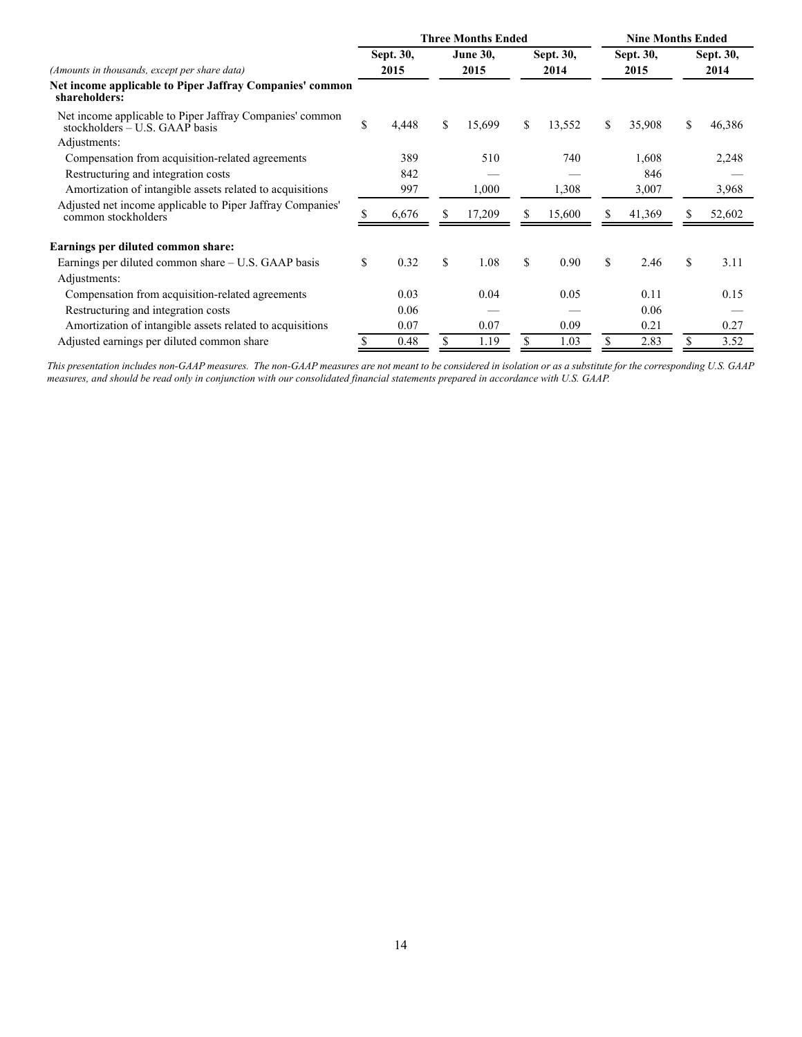|                                                                                              |           |       |                 | <b>Three Months Ended</b> | <b>Nine Months Ended</b> |        |           |        |           |        |
|----------------------------------------------------------------------------------------------|-----------|-------|-----------------|---------------------------|--------------------------|--------|-----------|--------|-----------|--------|
|                                                                                              | Sept. 30, |       | <b>June 30,</b> |                           | Sept. 30,                |        | Sept. 30, |        | Sept. 30, |        |
| (Amounts in thousands, except per share data)                                                |           | 2015  |                 | 2015                      |                          | 2014   |           | 2015   |           | 2014   |
| Net income applicable to Piper Jaffray Companies' common<br>shareholders:                    |           |       |                 |                           |                          |        |           |        |           |        |
| Net income applicable to Piper Jaffray Companies' common<br>stockholders $- U.S. GAAP$ basis | \$        | 4,448 | \$              | 15,699                    | \$                       | 13,552 | \$        | 35,908 | \$        | 46,386 |
| Adjustments:                                                                                 |           |       |                 |                           |                          |        |           |        |           |        |
| Compensation from acquisition-related agreements                                             |           | 389   |                 | 510                       |                          | 740    |           | 1,608  |           | 2,248  |
| Restructuring and integration costs                                                          |           | 842   |                 |                           |                          |        |           | 846    |           |        |
| Amortization of intangible assets related to acquisitions                                    |           | 997   |                 | 1,000                     |                          | 1,308  |           | 3,007  |           | 3,968  |
| Adjusted net income applicable to Piper Jaffray Companies'<br>common stockholders            |           | 6,676 |                 | 17,209                    | S                        | 15,600 |           | 41,369 |           | 52,602 |
| Earnings per diluted common share:                                                           |           |       |                 |                           |                          |        |           |        |           |        |
| Earnings per diluted common share – U.S. GAAP basis                                          | \$        | 0.32  | \$              | 1.08                      | \$                       | 0.90   | \$        | 2.46   | \$        | 3.11   |
| Adjustments:                                                                                 |           |       |                 |                           |                          |        |           |        |           |        |
| Compensation from acquisition-related agreements                                             |           | 0.03  |                 | 0.04                      |                          | 0.05   |           | 0.11   |           | 0.15   |
| Restructuring and integration costs                                                          |           | 0.06  |                 |                           |                          |        |           | 0.06   |           |        |
| Amortization of intangible assets related to acquisitions                                    |           | 0.07  |                 | 0.07                      |                          | 0.09   |           | 0.21   |           | 0.27   |
| Adjusted earnings per diluted common share                                                   |           | 0.48  |                 | 1.19                      |                          | 1.03   |           | 2.83   |           | 3.52   |

*This presentation includes non-GAAP measures. The non-GAAP measures are not meant to be considered in isolation or as a substitute for the corresponding U.S. GAAP measures, and should be read only in conjunction with our consolidated financial statements prepared in accordance with U.S. GAAP.*